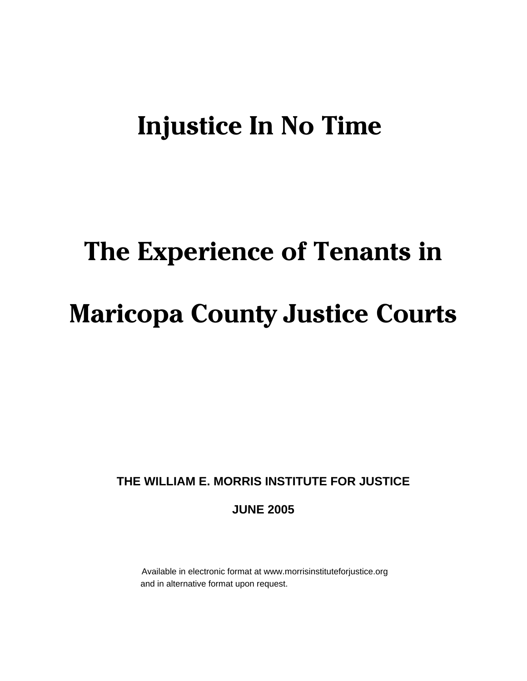# **Injustice In No Time**

# **The Experience of Tenants in Maricopa County Justice Courts**

# **THE WILLIAM E. MORRIS INSTITUTE FOR JUSTICE**

# **JUNE 2005**

 Available in electronic format at www.morrisinstituteforjustice.org and in alternative format upon request.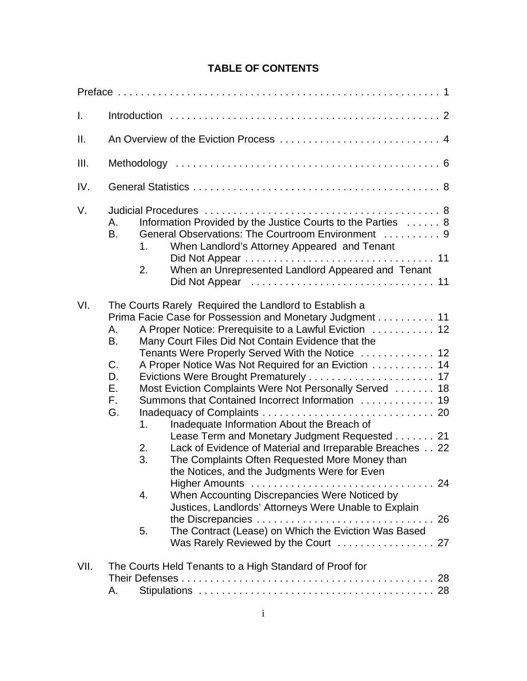# **TABLE OF CONTENTS**

| I.   |                                                                                                                                                                                                                                                                                                                                                                                                                                                                                                                                                                                                                                                                                                                                                                                                                                                                                                                                                                                 |  |  |  |
|------|---------------------------------------------------------------------------------------------------------------------------------------------------------------------------------------------------------------------------------------------------------------------------------------------------------------------------------------------------------------------------------------------------------------------------------------------------------------------------------------------------------------------------------------------------------------------------------------------------------------------------------------------------------------------------------------------------------------------------------------------------------------------------------------------------------------------------------------------------------------------------------------------------------------------------------------------------------------------------------|--|--|--|
| ΙΙ.  |                                                                                                                                                                                                                                                                                                                                                                                                                                                                                                                                                                                                                                                                                                                                                                                                                                                                                                                                                                                 |  |  |  |
| III. |                                                                                                                                                                                                                                                                                                                                                                                                                                                                                                                                                                                                                                                                                                                                                                                                                                                                                                                                                                                 |  |  |  |
| IV.  |                                                                                                                                                                                                                                                                                                                                                                                                                                                                                                                                                                                                                                                                                                                                                                                                                                                                                                                                                                                 |  |  |  |
| V.   | Information Provided by the Justice Courts to the Parties  8<br>Α.<br>General Observations: The Courtroom Environment  9<br>В.<br>When Landlord's Attorney Appeared and Tenant<br>1.<br>When an Unrepresented Landlord Appeared and Tenant<br>2.                                                                                                                                                                                                                                                                                                                                                                                                                                                                                                                                                                                                                                                                                                                                |  |  |  |
| VI.  | The Courts Rarely Required the Landlord to Establish a<br>Prima Facie Case for Possession and Monetary Judgment 11<br>A Proper Notice: Prerequisite to a Lawful Eviction  12<br>Α.<br>B.<br>Many Court Files Did Not Contain Evidence that the<br>Tenants Were Properly Served With the Notice  12<br>C <sub>1</sub><br>A Proper Notice Was Not Required for an Eviction 14<br>D.<br>Е.<br>Most Eviction Complaints Were Not Personally Served  18<br>F.<br>Summons that Contained Incorrect Information  19<br>G.<br>Inadequate Information About the Breach of<br>1.<br>Lease Term and Monetary Judgment Requested 21<br>Lack of Evidence of Material and Irreparable Breaches 22<br>2.<br>3.<br>The Complaints Often Requested More Money than<br>the Notices, and the Judgments Were for Even<br>When Accounting Discrepancies Were Noticed by<br>4.<br>Justices, Landlords' Attorneys Were Unable to Explain<br>The Contract (Lease) on Which the Eviction Was Based<br>5. |  |  |  |
| VII. | The Courts Held Tenants to a High Standard of Proof for<br>А.                                                                                                                                                                                                                                                                                                                                                                                                                                                                                                                                                                                                                                                                                                                                                                                                                                                                                                                   |  |  |  |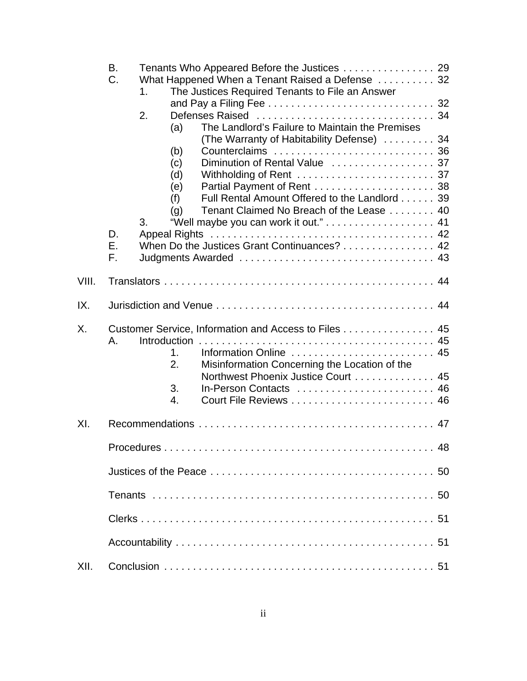|       | В.                                                   |                                                        |  |  |  |
|-------|------------------------------------------------------|--------------------------------------------------------|--|--|--|
|       | C.                                                   | What Happened When a Tenant Raised a Defense 32        |  |  |  |
|       |                                                      | The Justices Required Tenants to File an Answer<br>1.  |  |  |  |
|       |                                                      |                                                        |  |  |  |
|       |                                                      | 2.                                                     |  |  |  |
|       |                                                      | The Landlord's Failure to Maintain the Premises<br>(a) |  |  |  |
|       |                                                      | (The Warranty of Habitability Defense)  34             |  |  |  |
|       |                                                      | (b)<br>(c)                                             |  |  |  |
|       |                                                      | (d)                                                    |  |  |  |
|       |                                                      | (e)                                                    |  |  |  |
|       |                                                      | Full Rental Amount Offered to the Landlord 39<br>(f)   |  |  |  |
|       |                                                      | Tenant Claimed No Breach of the Lease 40<br>(q)        |  |  |  |
|       |                                                      | 3.                                                     |  |  |  |
|       | D.                                                   |                                                        |  |  |  |
|       | Ε.                                                   | When Do the Justices Grant Continuances? 42            |  |  |  |
|       | F.                                                   |                                                        |  |  |  |
|       |                                                      |                                                        |  |  |  |
| VIII. |                                                      |                                                        |  |  |  |
| IX.   |                                                      |                                                        |  |  |  |
| Χ.    | Customer Service, Information and Access to Files 45 |                                                        |  |  |  |
|       | Α.                                                   | <b>Introduction</b>                                    |  |  |  |
|       |                                                      | Information Online  45<br>1.                           |  |  |  |
|       |                                                      | 2.<br>Misinformation Concerning the Location of the    |  |  |  |
|       |                                                      | Northwest Phoenix Justice Court 45                     |  |  |  |
|       |                                                      | 3.<br>In-Person Contacts  46                           |  |  |  |
|       |                                                      | 4.                                                     |  |  |  |
|       |                                                      |                                                        |  |  |  |
| XI.   |                                                      |                                                        |  |  |  |
|       |                                                      |                                                        |  |  |  |
|       |                                                      |                                                        |  |  |  |
|       |                                                      |                                                        |  |  |  |
|       |                                                      |                                                        |  |  |  |
|       |                                                      |                                                        |  |  |  |
|       |                                                      |                                                        |  |  |  |
| XII.  |                                                      |                                                        |  |  |  |
|       |                                                      |                                                        |  |  |  |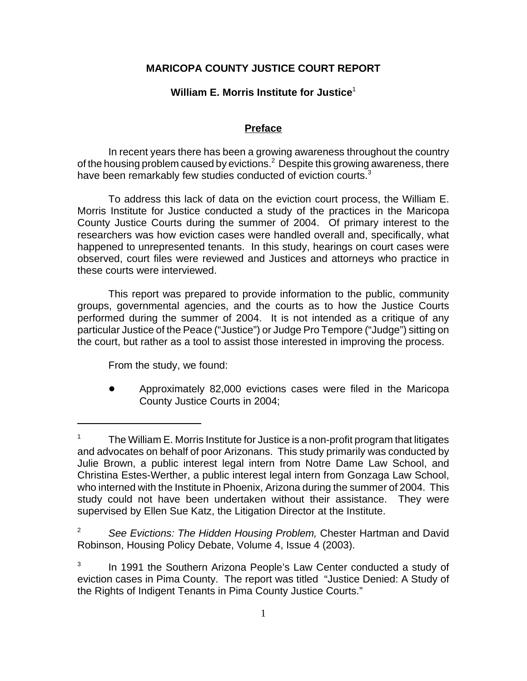# **MARICOPA COUNTY JUSTICE COURT REPORT**

#### **William E. Morris Institute for Justice**<sup>1</sup>

#### **Preface**

In recent years there has been a growing awareness throughout the country of the housing problem caused by evictions. $^2$  Despite this growing awareness, there have been remarkably few studies conducted of eviction courts.<sup>3</sup>

To address this lack of data on the eviction court process, the William E. Morris Institute for Justice conducted a study of the practices in the Maricopa County Justice Courts during the summer of 2004. Of primary interest to the researchers was how eviction cases were handled overall and, specifically, what happened to unrepresented tenants. In this study, hearings on court cases were observed, court files were reviewed and Justices and attorneys who practice in these courts were interviewed.

This report was prepared to provide information to the public, community groups, governmental agencies, and the courts as to how the Justice Courts performed during the summer of 2004. It is not intended as a critique of any particular Justice of the Peace ("Justice") or Judge Pro Tempore ("Judge") sitting on the court, but rather as a tool to assist those interested in improving the process.

From the study, we found:

! Approximately 82,000 evictions cases were filed in the Maricopa County Justice Courts in 2004;

<sup>&</sup>lt;sup>1</sup> The William E. Morris Institute for Justice is a non-profit program that litigates and advocates on behalf of poor Arizonans. This study primarily was conducted by Julie Brown, a public interest legal intern from Notre Dame Law School, and Christina Estes-Werther, a public interest legal intern from Gonzaga Law School, who interned with the Institute in Phoenix, Arizona during the summer of 2004. This study could not have been undertaken without their assistance. They were supervised by Ellen Sue Katz, the Litigation Director at the Institute.

<sup>2</sup> *See Evictions: The Hidden Housing Problem,* Chester Hartman and David Robinson, Housing Policy Debate, Volume 4, Issue 4 (2003).

 $3$  In 1991 the Southern Arizona People's Law Center conducted a study of eviction cases in Pima County. The report was titled "Justice Denied: A Study of the Rights of Indigent Tenants in Pima County Justice Courts."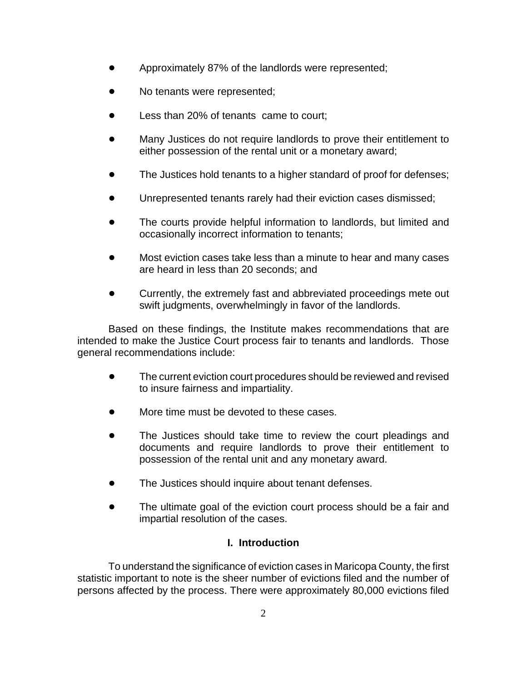- ! Approximately 87% of the landlords were represented;
- No tenants were represented;
- Less than 20% of tenants came to court;
- Many Justices do not require landlords to prove their entitlement to either possession of the rental unit or a monetary award;
- The Justices hold tenants to a higher standard of proof for defenses;
- Unrepresented tenants rarely had their eviction cases dismissed;
- The courts provide helpful information to landlords, but limited and occasionally incorrect information to tenants;
- Most eviction cases take less than a minute to hear and many cases are heard in less than 20 seconds; and
- Currently, the extremely fast and abbreviated proceedings mete out swift judgments, overwhelmingly in favor of the landlords.

Based on these findings, the Institute makes recommendations that are intended to make the Justice Court process fair to tenants and landlords. Those general recommendations include:

- The current eviction court procedures should be reviewed and revised to insure fairness and impartiality.
- More time must be devoted to these cases.
- The Justices should take time to review the court pleadings and documents and require landlords to prove their entitlement to possession of the rental unit and any monetary award.
- The Justices should inquire about tenant defenses.
- The ultimate goal of the eviction court process should be a fair and impartial resolution of the cases.

# **I. Introduction**

To understand the significance of eviction cases in Maricopa County, the first statistic important to note is the sheer number of evictions filed and the number of persons affected by the process. There were approximately 80,000 evictions filed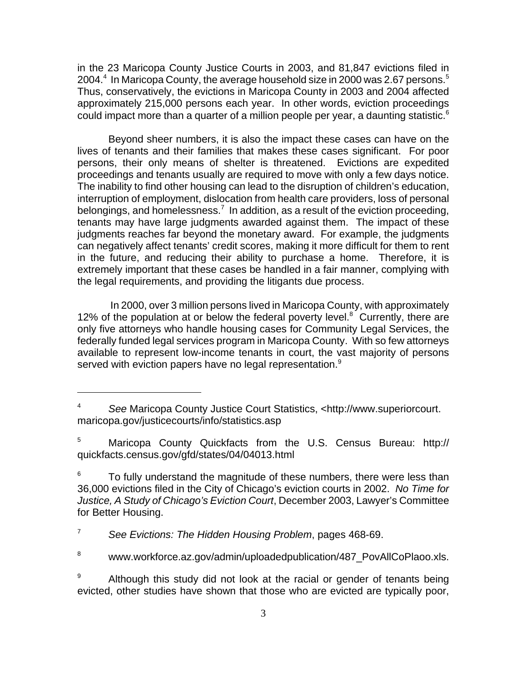in the 23 Maricopa County Justice Courts in 2003, and 81,847 evictions filed in 2004. $^4\,$  In Maricopa County, the average household size in 2000 was 2.67 persons. $^5\,$ Thus, conservatively, the evictions in Maricopa County in 2003 and 2004 affected approximately 215,000 persons each year. In other words, eviction proceedings could impact more than a quarter of a million people per year, a daunting statistic. $6$ 

Beyond sheer numbers, it is also the impact these cases can have on the lives of tenants and their families that makes these cases significant. For poor persons, their only means of shelter is threatened. Evictions are expedited proceedings and tenants usually are required to move with only a few days notice. The inability to find other housing can lead to the disruption of children's education, interruption of employment, dislocation from health care providers, loss of personal belongings, and homelessness.<sup>7</sup> In addition, as a result of the eviction proceeding, tenants may have large judgments awarded against them. The impact of these judgments reaches far beyond the monetary award. For example, the judgments can negatively affect tenants' credit scores, making it more difficult for them to rent in the future, and reducing their ability to purchase a home. Therefore, it is extremely important that these cases be handled in a fair manner, complying with the legal requirements, and providing the litigants due process.

 In 2000, over 3 million persons lived in Maricopa County, with approximately 12% of the population at or below the federal poverty level. $8$  Currently, there are only five attorneys who handle housing cases for Community Legal Services, the federally funded legal services program in Maricopa County. With so few attorneys available to represent low-income tenants in court, the vast majority of persons served with eviction papers have no legal representation. $9$ 

 $6$  To fully understand the magnitude of these numbers, there were less than 36,000 evictions filed in the City of Chicago's eviction courts in 2002. *No Time for Justice, A Study of Chicago's Eviction Court*, December 2003, Lawyer's Committee for Better Housing.

<sup>7</sup> *See Evictions: The Hidden Housing Problem*, pages 468-69.

<sup>8</sup> www.workforce.az.gov/admin/uploadedpublication/487\_PovAllCoPlaoo.xls.

Although this study did not look at the racial or gender of tenants being evicted, other studies have shown that those who are evicted are typically poor,

<sup>4</sup> *See* Maricopa County Justice Court Statistics, <http://www.superiorcourt. maricopa.gov/justicecourts/info/statistics.asp

<sup>5</sup> Maricopa County Quickfacts from the U.S. Census Bureau: http:// quickfacts.census.gov/gfd/states/04/04013.html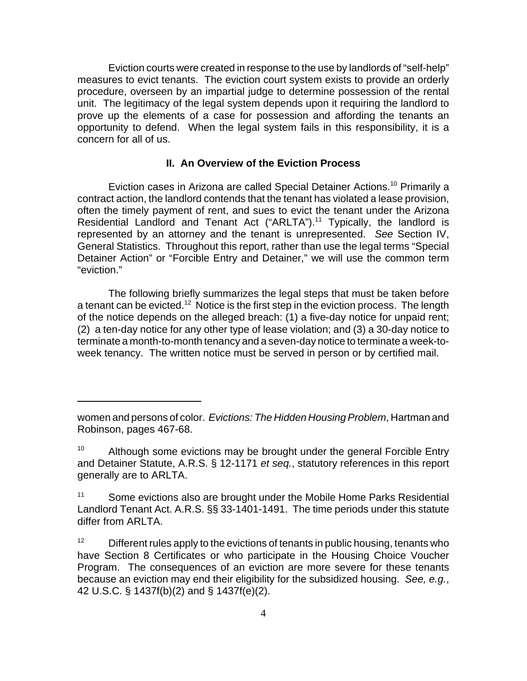Eviction courts were created in response to the use by landlords of "self-help" measures to evict tenants. The eviction court system exists to provide an orderly procedure, overseen by an impartial judge to determine possession of the rental unit. The legitimacy of the legal system depends upon it requiring the landlord to prove up the elements of a case for possession and affording the tenants an opportunity to defend. When the legal system fails in this responsibility, it is a concern for all of us.

#### **II. An Overview of the Eviction Process**

Eviction cases in Arizona are called Special Detainer Actions.<sup>10</sup> Primarily a contract action, the landlord contends that the tenant has violated a lease provision, often the timely payment of rent, and sues to evict the tenant under the Arizona Residential Landlord and Tenant Act ("ARLTA").<sup>11</sup> Typically, the landlord is represented by an attorney and the tenant is unrepresented. *See* Section IV, General Statistics. Throughout this report, rather than use the legal terms "Special Detainer Action" or "Forcible Entry and Detainer," we will use the common term "eviction."

The following briefly summarizes the legal steps that must be taken before a tenant can be evicted.<sup>12</sup> Notice is the first step in the eviction process. The length of the notice depends on the alleged breach: (1) a five-day notice for unpaid rent; (2) a ten-day notice for any other type of lease violation; and (3) a 30-day notice to terminate a month-to-month tenancy and a seven-day notice to terminate a week-toweek tenancy. The written notice must be served in person or by certified mail.

women and persons of color. *Evictions: The Hidden Housing Problem*, Hartman and Robinson, pages 467-68.

<sup>&</sup>lt;sup>10</sup> Although some evictions may be brought under the general Forcible Entry and Detainer Statute, A.R.S. § 12-1171 *et seq.*, statutory references in this report generally are to ARLTA.

<sup>&</sup>lt;sup>11</sup> Some evictions also are brought under the Mobile Home Parks Residential Landlord Tenant Act. A.R.S. §§ 33-1401-1491. The time periods under this statute differ from ARLTA.

 $12$  Different rules apply to the evictions of tenants in public housing, tenants who have Section 8 Certificates or who participate in the Housing Choice Voucher Program. The consequences of an eviction are more severe for these tenants because an eviction may end their eligibility for the subsidized housing. *See, e.g.*, 42 U.S.C. § 1437f(b)(2) and § 1437f(e)(2).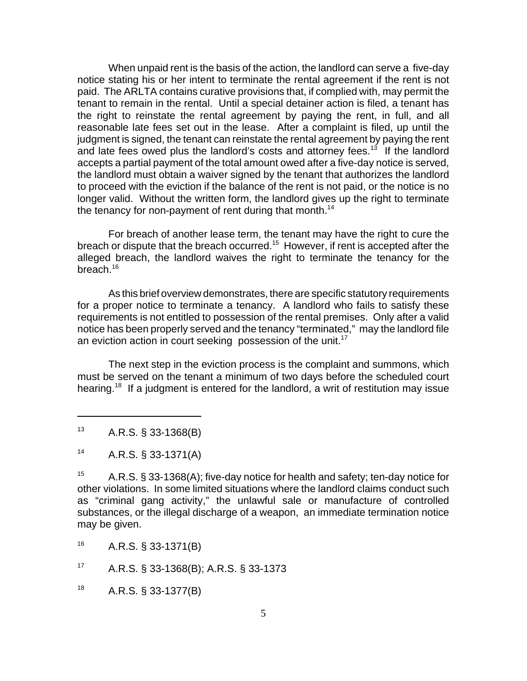When unpaid rent is the basis of the action, the landlord can serve a five-day notice stating his or her intent to terminate the rental agreement if the rent is not paid. The ARLTA contains curative provisions that, if complied with, may permit the tenant to remain in the rental. Until a special detainer action is filed, a tenant has the right to reinstate the rental agreement by paying the rent, in full, and all reasonable late fees set out in the lease. After a complaint is filed, up until the judgment is signed, the tenant can reinstate the rental agreement by paying the rent and late fees owed plus the landlord's costs and attorney fees.<sup>13</sup> If the landlord accepts a partial payment of the total amount owed after a five-day notice is served, the landlord must obtain a waiver signed by the tenant that authorizes the landlord to proceed with the eviction if the balance of the rent is not paid, or the notice is no longer valid. Without the written form, the landlord gives up the right to terminate the tenancy for non-payment of rent during that month.<sup>14</sup>

For breach of another lease term, the tenant may have the right to cure the breach or dispute that the breach occurred.15 However, if rent is accepted after the alleged breach, the landlord waives the right to terminate the tenancy for the breach.<sup>16</sup>

As this brief overview demonstrates, there are specific statutory requirements for a proper notice to terminate a tenancy. A landlord who fails to satisfy these requirements is not entitled to possession of the rental premises. Only after a valid notice has been properly served and the tenancy "terminated," may the landlord file an eviction action in court seeking possession of the unit.<sup>17</sup>

The next step in the eviction process is the complaint and summons, which must be served on the tenant a minimum of two days before the scheduled court hearing.<sup>18</sup> If a judgment is entered for the landlord, a writ of restitution may issue

 $18$  A.R.S. § 33-1377(B)

<sup>13</sup> A.R.S. § 33-1368(B)

<sup>14</sup> A.R.S. § 33-1371(A)

<sup>&</sup>lt;sup>15</sup> A.R.S. § 33-1368(A); five-day notice for health and safety; ten-day notice for other violations. In some limited situations where the landlord claims conduct such as "criminal gang activity," the unlawful sale or manufacture of controlled substances, or the illegal discharge of a weapon, an immediate termination notice may be given.

<sup>16</sup> A.R.S. § 33-1371(B)

<sup>17</sup> A.R.S. § 33-1368(B); A.R.S. § 33-1373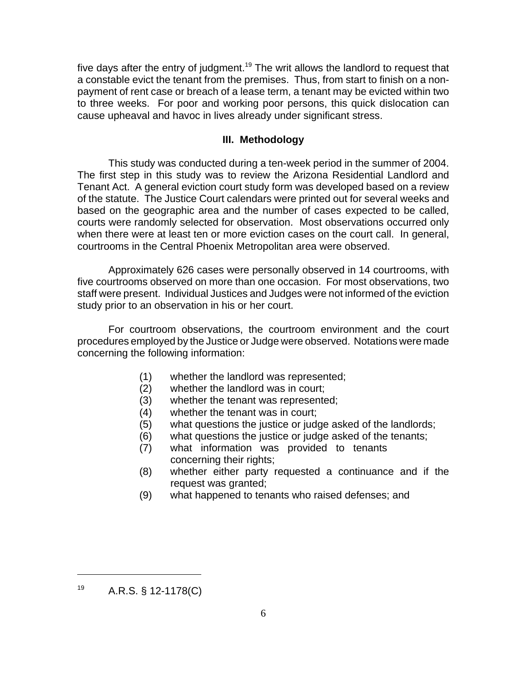five days after the entry of judgment.<sup>19</sup> The writ allows the landlord to request that a constable evict the tenant from the premises. Thus, from start to finish on a nonpayment of rent case or breach of a lease term, a tenant may be evicted within two to three weeks. For poor and working poor persons, this quick dislocation can cause upheaval and havoc in lives already under significant stress.

#### **III. Methodology**

This study was conducted during a ten-week period in the summer of 2004. The first step in this study was to review the Arizona Residential Landlord and Tenant Act. A general eviction court study form was developed based on a review of the statute. The Justice Court calendars were printed out for several weeks and based on the geographic area and the number of cases expected to be called, courts were randomly selected for observation. Most observations occurred only when there were at least ten or more eviction cases on the court call. In general, courtrooms in the Central Phoenix Metropolitan area were observed.

Approximately 626 cases were personally observed in 14 courtrooms, with five courtrooms observed on more than one occasion. For most observations, two staff were present. Individual Justices and Judges were not informed of the eviction study prior to an observation in his or her court.

For courtroom observations, the courtroom environment and the court procedures employed by the Justice or Judge were observed. Notations were made concerning the following information:

- (1) whether the landlord was represented;
- (2) whether the landlord was in court;
- (3) whether the tenant was represented;
- (4) whether the tenant was in court;
- (5) what questions the justice or judge asked of the landlords;
- (6) what questions the justice or judge asked of the tenants;
- (7) what information was provided to tenants concerning their rights;
- (8) whether either party requested a continuance and if the request was granted;
- (9) what happened to tenants who raised defenses; and

 $19$  A.R.S. § 12-1178(C)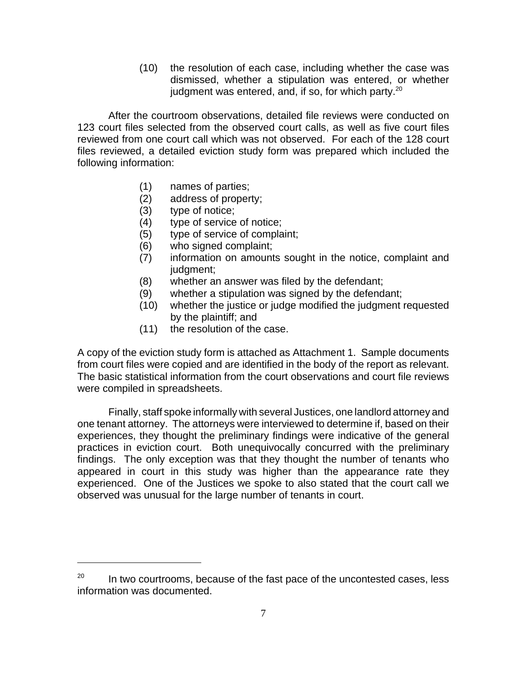(10) the resolution of each case, including whether the case was dismissed, whether a stipulation was entered, or whether judgment was entered, and, if so, for which party.<sup>20</sup>

After the courtroom observations, detailed file reviews were conducted on 123 court files selected from the observed court calls, as well as five court files reviewed from one court call which was not observed. For each of the 128 court files reviewed, a detailed eviction study form was prepared which included the following information:

- (1) names of parties;
- (2) address of property;
- (3) type of notice;
- (4) type of service of notice;
- (5) type of service of complaint;
- (6) who signed complaint;
- (7) information on amounts sought in the notice, complaint and judgment;
- (8) whether an answer was filed by the defendant;
- (9) whether a stipulation was signed by the defendant;
- (10) whether the justice or judge modified the judgment requested by the plaintiff; and
- (11) the resolution of the case.

A copy of the eviction study form is attached as Attachment 1. Sample documents from court files were copied and are identified in the body of the report as relevant. The basic statistical information from the court observations and court file reviews were compiled in spreadsheets.

Finally, staff spoke informally with several Justices, one landlord attorney and one tenant attorney. The attorneys were interviewed to determine if, based on their experiences, they thought the preliminary findings were indicative of the general practices in eviction court. Both unequivocally concurred with the preliminary findings. The only exception was that they thought the number of tenants who appeared in court in this study was higher than the appearance rate they experienced. One of the Justices we spoke to also stated that the court call we observed was unusual for the large number of tenants in court.

 $20$  In two courtrooms, because of the fast pace of the uncontested cases, less information was documented.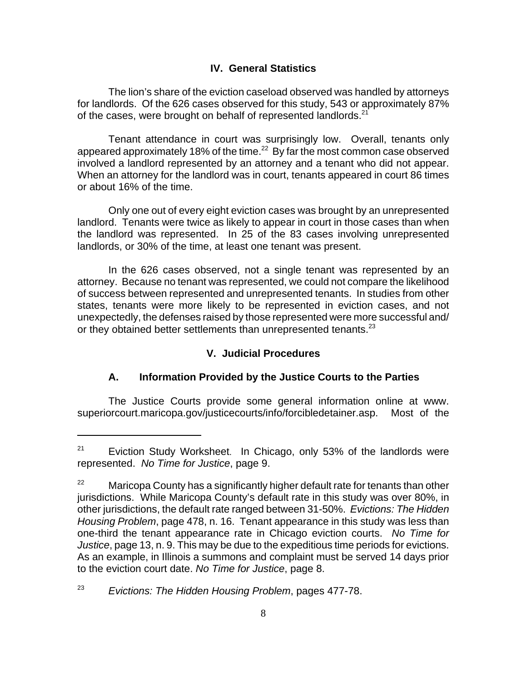# **IV. General Statistics**

The lion's share of the eviction caseload observed was handled by attorneys for landlords. Of the 626 cases observed for this study, 543 or approximately 87% of the cases, were brought on behalf of represented landlords. $21$ 

Tenant attendance in court was surprisingly low. Overall, tenants only appeared approximately 18% of the time.<sup>22</sup> By far the most common case observed involved a landlord represented by an attorney and a tenant who did not appear. When an attorney for the landlord was in court, tenants appeared in court 86 times or about 16% of the time.

Only one out of every eight eviction cases was brought by an unrepresented landlord. Tenants were twice as likely to appear in court in those cases than when the landlord was represented. In 25 of the 83 cases involving unrepresented landlords, or 30% of the time, at least one tenant was present.

In the 626 cases observed, not a single tenant was represented by an attorney. Because no tenant was represented, we could not compare the likelihood of success between represented and unrepresented tenants. In studies from other states, tenants were more likely to be represented in eviction cases, and not unexpectedly, the defenses raised by those represented were more successful and/ or they obtained better settlements than unrepresented tenants.<sup>23</sup>

# **V. Judicial Procedures**

# **A. Information Provided by the Justice Courts to the Parties**

The Justice Courts provide some general information online at www. superiorcourt.maricopa.gov/justicecourts/info/forcibledetainer.asp. Most of the

 $21$  Eviction Study Worksheet. In Chicago, only 53% of the landlords were represented. *No Time for Justice*, page 9.

 $22$  Maricopa County has a significantly higher default rate for tenants than other jurisdictions. While Maricopa County's default rate in this study was over 80%, in other jurisdictions, the default rate ranged between 31-50%. *Evictions: The Hidden Housing Problem*, page 478, n. 16. Tenant appearance in this study was less than one-third the tenant appearance rate in Chicago eviction courts. *No Time for Justice*, page 13, n. 9. This may be due to the expeditious time periods for evictions. As an example, in Illinois a summons and complaint must be served 14 days prior to the eviction court date. *No Time for Justice*, page 8.

<sup>23</sup> *Evictions: The Hidden Housing Problem*, pages 477-78.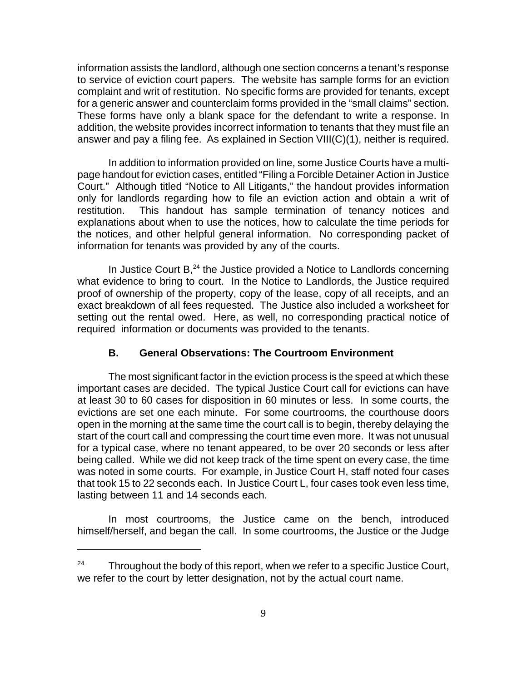information assists the landlord, although one section concerns a tenant's response to service of eviction court papers. The website has sample forms for an eviction complaint and writ of restitution. No specific forms are provided for tenants, except for a generic answer and counterclaim forms provided in the "small claims" section. These forms have only a blank space for the defendant to write a response. In addition, the website provides incorrect information to tenants that they must file an answer and pay a filing fee. As explained in Section VIII(C)(1), neither is required.

In addition to information provided on line, some Justice Courts have a multipage handout for eviction cases, entitled "Filing a Forcible Detainer Action in Justice Court." Although titled "Notice to All Litigants," the handout provides information only for landlords regarding how to file an eviction action and obtain a writ of restitution. This handout has sample termination of tenancy notices and explanations about when to use the notices, how to calculate the time periods for the notices, and other helpful general information. No corresponding packet of information for tenants was provided by any of the courts.

In Justice Court  $B<sub>1</sub><sup>24</sup>$  the Justice provided a Notice to Landlords concerning what evidence to bring to court. In the Notice to Landlords, the Justice required proof of ownership of the property, copy of the lease, copy of all receipts, and an exact breakdown of all fees requested. The Justice also included a worksheet for setting out the rental owed. Here, as well, no corresponding practical notice of required information or documents was provided to the tenants.

# **B. General Observations: The Courtroom Environment**

The most significant factor in the eviction process is the speed at which these important cases are decided. The typical Justice Court call for evictions can have at least 30 to 60 cases for disposition in 60 minutes or less. In some courts, the evictions are set one each minute. For some courtrooms, the courthouse doors open in the morning at the same time the court call is to begin, thereby delaying the start of the court call and compressing the court time even more. It was not unusual for a typical case, where no tenant appeared, to be over 20 seconds or less after being called. While we did not keep track of the time spent on every case, the time was noted in some courts. For example, in Justice Court H, staff noted four cases that took 15 to 22 seconds each. In Justice Court L, four cases took even less time, lasting between 11 and 14 seconds each.

In most courtrooms, the Justice came on the bench, introduced himself/herself, and began the call. In some courtrooms, the Justice or the Judge

 $24$  Throughout the body of this report, when we refer to a specific Justice Court, we refer to the court by letter designation, not by the actual court name.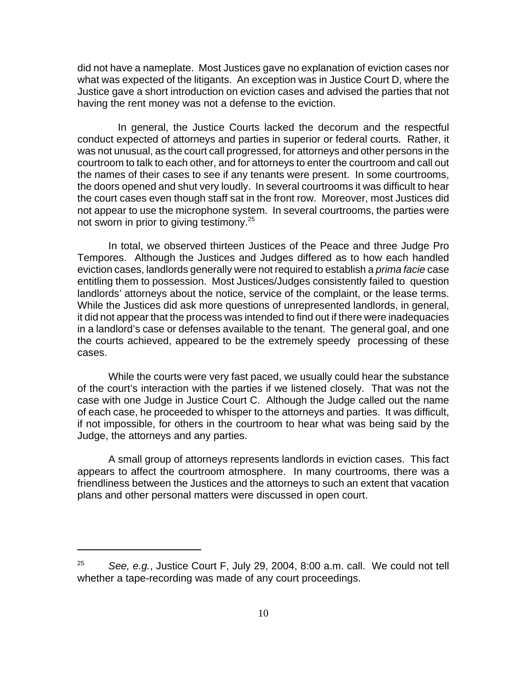did not have a nameplate. Most Justices gave no explanation of eviction cases nor what was expected of the litigants. An exception was in Justice Court D, where the Justice gave a short introduction on eviction cases and advised the parties that not having the rent money was not a defense to the eviction.

 In general, the Justice Courts lacked the decorum and the respectful conduct expected of attorneys and parties in superior or federal courts. Rather, it was not unusual, as the court call progressed, for attorneys and other persons in the courtroom to talk to each other, and for attorneys to enter the courtroom and call out the names of their cases to see if any tenants were present. In some courtrooms, the doors opened and shut very loudly. In several courtrooms it was difficult to hear the court cases even though staff sat in the front row. Moreover, most Justices did not appear to use the microphone system. In several courtrooms, the parties were not sworn in prior to giving testimony.<sup>25</sup>

In total, we observed thirteen Justices of the Peace and three Judge Pro Tempores. Although the Justices and Judges differed as to how each handled eviction cases, landlords generally were not required to establish a *prima facie* case entitling them to possession. Most Justices/Judges consistently failed to question landlords' attorneys about the notice, service of the complaint, or the lease terms. While the Justices did ask more questions of unrepresented landlords, in general, it did not appear that the process was intended to find out if there were inadequacies in a landlord's case or defenses available to the tenant. The general goal, and one the courts achieved, appeared to be the extremely speedy processing of these cases.

While the courts were very fast paced, we usually could hear the substance of the court's interaction with the parties if we listened closely. That was not the case with one Judge in Justice Court C. Although the Judge called out the name of each case, he proceeded to whisper to the attorneys and parties. It was difficult, if not impossible, for others in the courtroom to hear what was being said by the Judge, the attorneys and any parties.

A small group of attorneys represents landlords in eviction cases. This fact appears to affect the courtroom atmosphere. In many courtrooms, there was a friendliness between the Justices and the attorneys to such an extent that vacation plans and other personal matters were discussed in open court.

<sup>25</sup> *See, e.g.*, Justice Court F, July 29, 2004, 8:00 a.m. call. We could not tell whether a tape-recording was made of any court proceedings.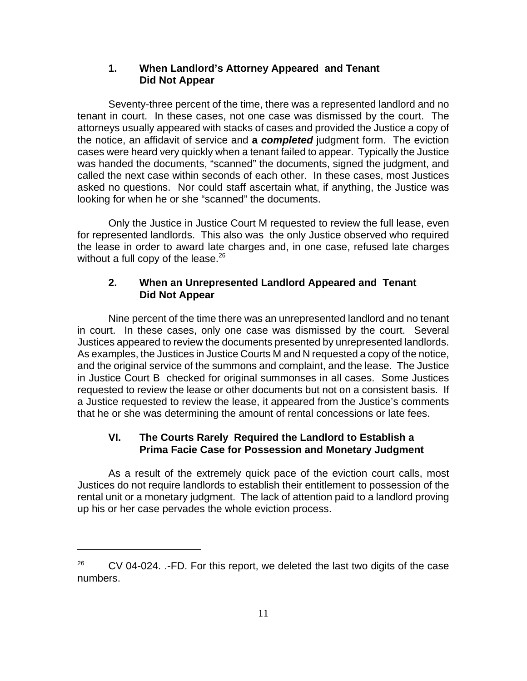# **1. When Landlord's Attorney Appeared and Tenant Did Not Appear**

Seventy-three percent of the time, there was a represented landlord and no tenant in court. In these cases, not one case was dismissed by the court. The attorneys usually appeared with stacks of cases and provided the Justice a copy of the notice, an affidavit of service and **a** *completed* judgment form. The eviction cases were heard very quickly when a tenant failed to appear. Typically the Justice was handed the documents, "scanned" the documents, signed the judgment, and called the next case within seconds of each other. In these cases, most Justices asked no questions. Nor could staff ascertain what, if anything, the Justice was looking for when he or she "scanned" the documents.

Only the Justice in Justice Court M requested to review the full lease, even for represented landlords. This also was the only Justice observed who required the lease in order to award late charges and, in one case, refused late charges without a full copy of the lease. $26$ 

# **2. When an Unrepresented Landlord Appeared and Tenant Did Not Appear**

Nine percent of the time there was an unrepresented landlord and no tenant in court. In these cases, only one case was dismissed by the court. Several Justices appeared to review the documents presented by unrepresented landlords. As examples, the Justices in Justice Courts M and N requested a copy of the notice, and the original service of the summons and complaint, and the lease. The Justice in Justice Court B checked for original summonses in all cases. Some Justices requested to review the lease or other documents but not on a consistent basis. If a Justice requested to review the lease, it appeared from the Justice's comments that he or she was determining the amount of rental concessions or late fees.

# **VI. The Courts Rarely Required the Landlord to Establish a Prima Facie Case for Possession and Monetary Judgment**

As a result of the extremely quick pace of the eviction court calls, most Justices do not require landlords to establish their entitlement to possession of the rental unit or a monetary judgment. The lack of attention paid to a landlord proving up his or her case pervades the whole eviction process.

 $26$  CV 04-024. .-FD. For this report, we deleted the last two digits of the case numbers.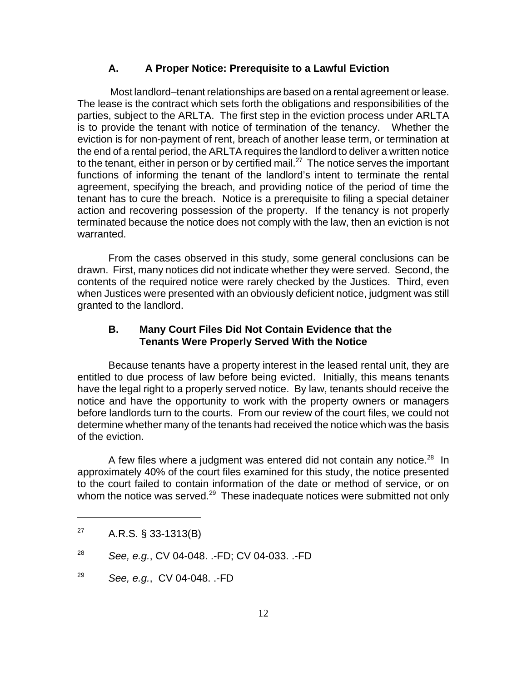#### **A. A Proper Notice: Prerequisite to a Lawful Eviction**

 Most landlord–tenant relationships are based on a rental agreement or lease. The lease is the contract which sets forth the obligations and responsibilities of the parties, subject to the ARLTA. The first step in the eviction process under ARLTA is to provide the tenant with notice of termination of the tenancy. Whether the eviction is for non-payment of rent, breach of another lease term, or termination at the end of a rental period, the ARLTA requires the landlord to deliver a written notice to the tenant, either in person or by certified mail.<sup>27</sup> The notice serves the important functions of informing the tenant of the landlord's intent to terminate the rental agreement, specifying the breach, and providing notice of the period of time the tenant has to cure the breach. Notice is a prerequisite to filing a special detainer action and recovering possession of the property. If the tenancy is not properly terminated because the notice does not comply with the law, then an eviction is not warranted.

From the cases observed in this study, some general conclusions can be drawn. First, many notices did not indicate whether they were served. Second, the contents of the required notice were rarely checked by the Justices. Third, even when Justices were presented with an obviously deficient notice, judgment was still granted to the landlord.

#### **B. Many Court Files Did Not Contain Evidence that the Tenants Were Properly Served With the Notice**

Because tenants have a property interest in the leased rental unit, they are entitled to due process of law before being evicted. Initially, this means tenants have the legal right to a properly served notice. By law, tenants should receive the notice and have the opportunity to work with the property owners or managers before landlords turn to the courts. From our review of the court files, we could not determine whether many of the tenants had received the notice which was the basis of the eviction.

A few files where a judgment was entered did not contain any notice. $28$  In approximately 40% of the court files examined for this study, the notice presented to the court failed to contain information of the date or method of service, or on whom the notice was served.<sup>29</sup> These inadequate notices were submitted not only

 $^{27}$  A.R.S. § 33-1313(B)

<sup>28</sup> *See, e.g.*, CV 04-048. .-FD; CV 04-033. .-FD

<sup>29</sup> *See, e.g.*, CV 04-048. .-FD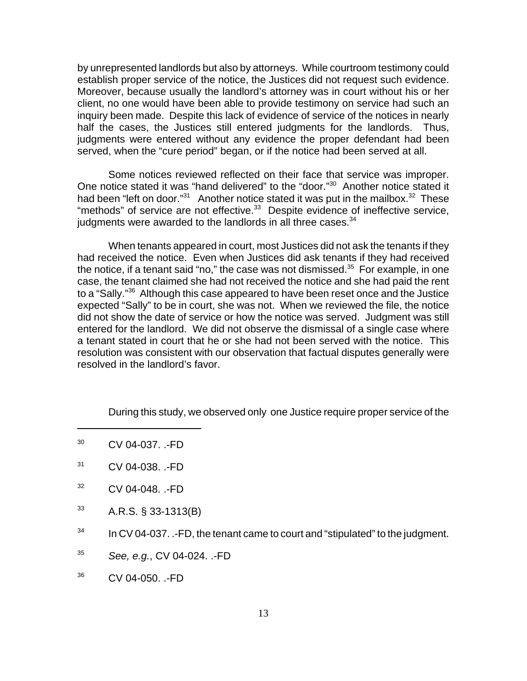by unrepresented landlords but also by attorneys. While courtroom testimony could establish proper service of the notice, the Justices did not request such evidence. Moreover, because usually the landlord's attorney was in court without his or her client, no one would have been able to provide testimony on service had such an inquiry been made. Despite this lack of evidence of service of the notices in nearly half the cases, the Justices still entered judgments for the landlords. Thus, judgments were entered without any evidence the proper defendant had been served, when the "cure period" began, or if the notice had been served at all.

Some notices reviewed reflected on their face that service was improper. One notice stated it was "hand delivered" to the "door."<sup>30</sup> Another notice stated it had been "left on door." $31$  Another notice stated it was put in the mailbox. $32$  These "methods" of service are not effective. $33$  Despite evidence of ineffective service, judgments were awarded to the landlords in all three cases. $34$ 

When tenants appeared in court, most Justices did not ask the tenants if they had received the notice. Even when Justices did ask tenants if they had received the notice, if a tenant said "no," the case was not dismissed. $35$  For example, in one case, the tenant claimed she had not received the notice and she had paid the rent to a "Sally."<sup>36</sup> Although this case appeared to have been reset once and the Justice expected "Sally" to be in court, she was not. When we reviewed the file, the notice did not show the date of service or how the notice was served. Judgment was still entered for the landlord. We did not observe the dismissal of a single case where a tenant stated in court that he or she had not been served with the notice. This resolution was consistent with our observation that factual disputes generally were resolved in the landlord's favor.

During this study, we observed only one Justice require proper service of the

- <sup>32</sup> CV 04-048. .-FD
- $33$  A.R.S. § 33-1313(B)
- $34$  In CV 04-037. .-FD, the tenant came to court and "stipulated" to the judgment.
- <sup>35</sup> *See, e.g.*, CV 04-024. .-FD
- <sup>36</sup> CV 04-050. .-FD

 $30$  CV 04-037.  $-FD$ 

<sup>31</sup> CV 04-038. .-FD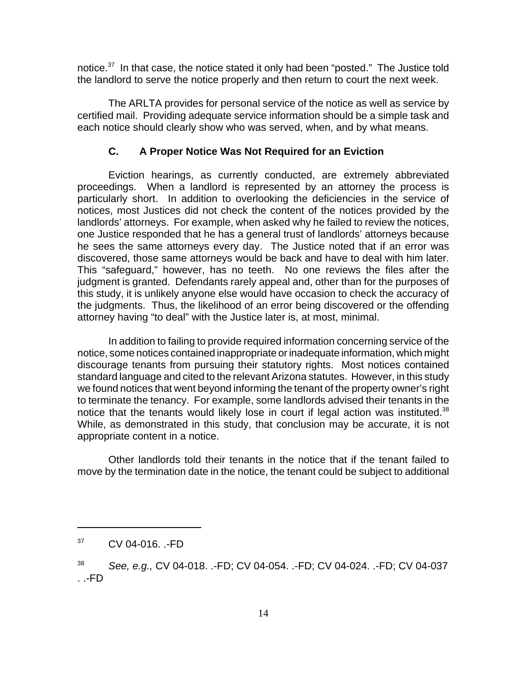notice.<sup>37</sup> In that case, the notice stated it only had been "posted." The Justice told the landlord to serve the notice properly and then return to court the next week.

The ARLTA provides for personal service of the notice as well as service by certified mail. Providing adequate service information should be a simple task and each notice should clearly show who was served, when, and by what means.

#### **C. A Proper Notice Was Not Required for an Eviction**

Eviction hearings, as currently conducted, are extremely abbreviated proceedings. When a landlord is represented by an attorney the process is particularly short. In addition to overlooking the deficiencies in the service of notices, most Justices did not check the content of the notices provided by the landlords' attorneys. For example, when asked why he failed to review the notices, one Justice responded that he has a general trust of landlords' attorneys because he sees the same attorneys every day. The Justice noted that if an error was discovered, those same attorneys would be back and have to deal with him later. This "safeguard," however, has no teeth. No one reviews the files after the judgment is granted. Defendants rarely appeal and, other than for the purposes of this study, it is unlikely anyone else would have occasion to check the accuracy of the judgments. Thus, the likelihood of an error being discovered or the offending attorney having "to deal" with the Justice later is, at most, minimal.

In addition to failing to provide required information concerning service of the notice, some notices contained inappropriate or inadequate information, which might discourage tenants from pursuing their statutory rights. Most notices contained standard language and cited to the relevant Arizona statutes. However, in this study we found notices that went beyond informing the tenant of the property owner's right to terminate the tenancy. For example, some landlords advised their tenants in the notice that the tenants would likely lose in court if legal action was instituted. $38$ While, as demonstrated in this study, that conclusion may be accurate, it is not appropriate content in a notice.

Other landlords told their tenants in the notice that if the tenant failed to move by the termination date in the notice, the tenant could be subject to additional

 $37$  CV 04-016.  $\cdot$ FD

<sup>38</sup> *See, e.g.,* CV 04-018. .-FD; CV 04-054. .-FD; CV 04-024. .-FD; CV 04-037 . .-FD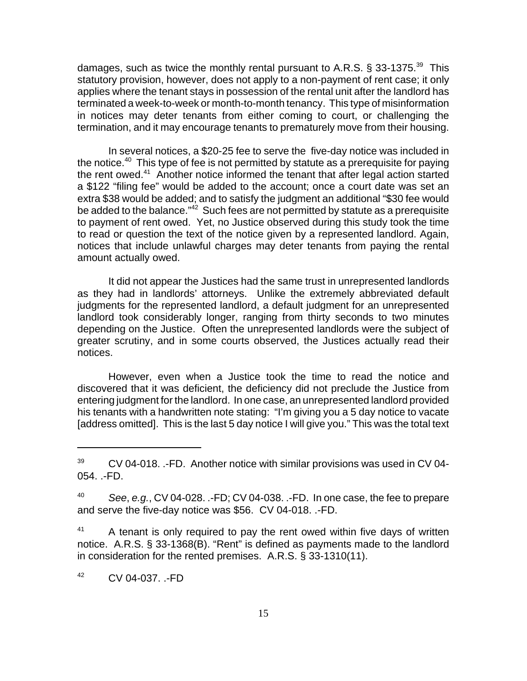damages, such as twice the monthly rental pursuant to A.R.S. § 33-1375.<sup>39</sup> This statutory provision, however, does not apply to a non-payment of rent case; it only applies where the tenant stays in possession of the rental unit after the landlord has terminated a week-to-week or month-to-month tenancy. This type of misinformation in notices may deter tenants from either coming to court, or challenging the termination, and it may encourage tenants to prematurely move from their housing.

In several notices, a \$20-25 fee to serve the five-day notice was included in the notice.<sup>40</sup> This type of fee is not permitted by statute as a prerequisite for paying the rent owed.<sup>41</sup> Another notice informed the tenant that after legal action started a \$122 "filing fee" would be added to the account; once a court date was set an extra \$38 would be added; and to satisfy the judgment an additional "\$30 fee would be added to the balance."<sup>42</sup> Such fees are not permitted by statute as a prerequisite to payment of rent owed. Yet, no Justice observed during this study took the time to read or question the text of the notice given by a represented landlord. Again, notices that include unlawful charges may deter tenants from paying the rental amount actually owed.

It did not appear the Justices had the same trust in unrepresented landlords as they had in landlords' attorneys. Unlike the extremely abbreviated default judgments for the represented landlord, a default judgment for an unrepresented landlord took considerably longer, ranging from thirty seconds to two minutes depending on the Justice. Often the unrepresented landlords were the subject of greater scrutiny, and in some courts observed, the Justices actually read their notices.

However, even when a Justice took the time to read the notice and discovered that it was deficient, the deficiency did not preclude the Justice from entering judgment for the landlord. In one case, an unrepresented landlord provided his tenants with a handwritten note stating: "I'm giving you a 5 day notice to vacate [address omitted]. This is the last 5 day notice I will give you." This was the total text

<sup>42</sup> CV 04-037. .-FD

 $39$  CV 04-018. .-FD. Another notice with similar provisions was used in CV 04-054. .-FD.

<sup>40</sup> *See*, *e.g.*, CV 04-028. .-FD; CV 04-038. .-FD. In one case, the fee to prepare and serve the five-day notice was \$56. CV 04-018. .-FD.

 $41$  A tenant is only required to pay the rent owed within five days of written notice. A.R.S. § 33-1368(B). "Rent" is defined as payments made to the landlord in consideration for the rented premises. A.R.S. § 33-1310(11).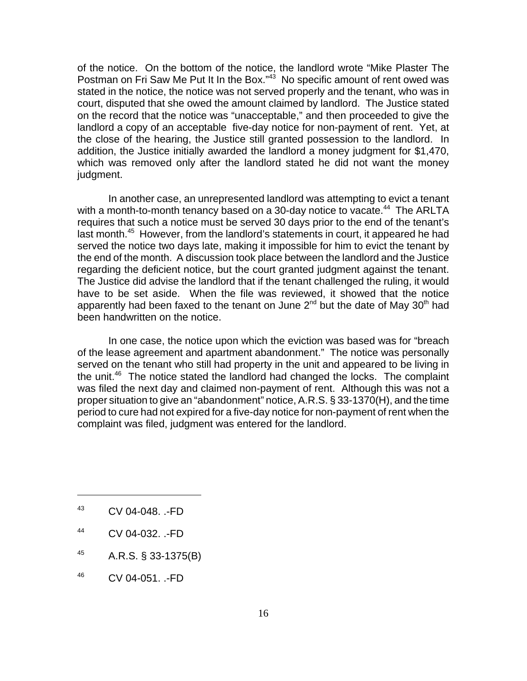of the notice. On the bottom of the notice, the landlord wrote "Mike Plaster The Postman on Fri Saw Me Put It In the Box."<sup>43</sup> No specific amount of rent owed was stated in the notice, the notice was not served properly and the tenant, who was in court, disputed that she owed the amount claimed by landlord. The Justice stated on the record that the notice was "unacceptable," and then proceeded to give the landlord a copy of an acceptable five-day notice for non-payment of rent. Yet, at the close of the hearing, the Justice still granted possession to the landlord. In addition, the Justice initially awarded the landlord a money judgment for \$1,470, which was removed only after the landlord stated he did not want the money judgment.

In another case, an unrepresented landlord was attempting to evict a tenant with a month-to-month tenancy based on a 30-day notice to vacate.<sup>44</sup> The ARLTA requires that such a notice must be served 30 days prior to the end of the tenant's last month.<sup>45</sup> However, from the landlord's statements in court, it appeared he had served the notice two days late, making it impossible for him to evict the tenant by the end of the month. A discussion took place between the landlord and the Justice regarding the deficient notice, but the court granted judgment against the tenant. The Justice did advise the landlord that if the tenant challenged the ruling, it would have to be set aside. When the file was reviewed, it showed that the notice apparently had been faxed to the tenant on June  $2^{nd}$  but the date of May  $30^{th}$  had been handwritten on the notice.

In one case, the notice upon which the eviction was based was for "breach of the lease agreement and apartment abandonment." The notice was personally served on the tenant who still had property in the unit and appeared to be living in the unit. $46$  The notice stated the landlord had changed the locks. The complaint was filed the next day and claimed non-payment of rent. Although this was not a proper situation to give an "abandonment" notice, A.R.S. § 33-1370(H), and the time period to cure had not expired for a five-day notice for non-payment of rent when the complaint was filed, judgment was entered for the landlord.

- <sup>43</sup> CV 04-048. .-FD
- <sup>44</sup> CV 04-032. .-FD
- $^{45}$  A.R.S. § 33-1375(B)
- <sup>46</sup> CV 04-051. .-FD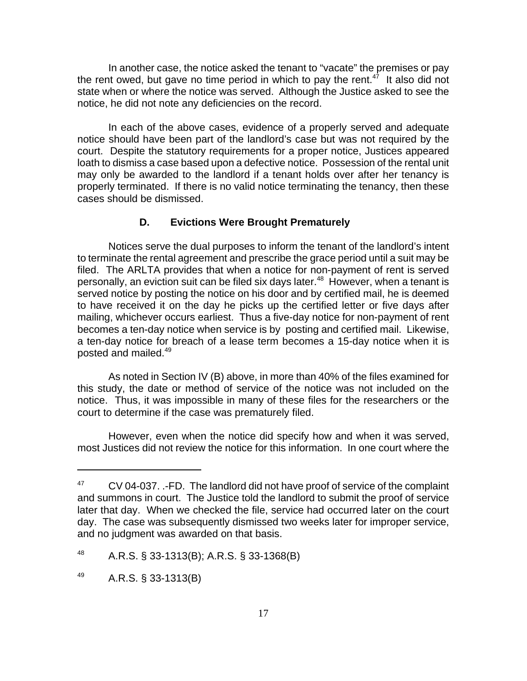In another case, the notice asked the tenant to "vacate" the premises or pay the rent owed, but gave no time period in which to pay the rent.<sup>47</sup> It also did not state when or where the notice was served. Although the Justice asked to see the notice, he did not note any deficiencies on the record.

In each of the above cases, evidence of a properly served and adequate notice should have been part of the landlord's case but was not required by the court. Despite the statutory requirements for a proper notice, Justices appeared loath to dismiss a case based upon a defective notice. Possession of the rental unit may only be awarded to the landlord if a tenant holds over after her tenancy is properly terminated. If there is no valid notice terminating the tenancy, then these cases should be dismissed.

#### **D. Evictions Were Brought Prematurely**

Notices serve the dual purposes to inform the tenant of the landlord's intent to terminate the rental agreement and prescribe the grace period until a suit may be filed. The ARLTA provides that when a notice for non-payment of rent is served personally, an eviction suit can be filed six days later.<sup>48</sup> However, when a tenant is served notice by posting the notice on his door and by certified mail, he is deemed to have received it on the day he picks up the certified letter or five days after mailing, whichever occurs earliest. Thus a five-day notice for non-payment of rent becomes a ten-day notice when service is by posting and certified mail. Likewise, a ten-day notice for breach of a lease term becomes a 15-day notice when it is posted and mailed.<sup>49</sup>

As noted in Section IV (B) above, in more than 40% of the files examined for this study, the date or method of service of the notice was not included on the notice. Thus, it was impossible in many of these files for the researchers or the court to determine if the case was prematurely filed.

However, even when the notice did specify how and when it was served, most Justices did not review the notice for this information. In one court where the

 $47$  CV 04-037.  $\cdot$ -FD. The landlord did not have proof of service of the complaint and summons in court. The Justice told the landlord to submit the proof of service later that day. When we checked the file, service had occurred later on the court day. The case was subsequently dismissed two weeks later for improper service, and no judgment was awarded on that basis.

 $^{48}$  A.R.S. § 33-1313(B); A.R.S. § 33-1368(B)

 $^{49}$  A.R.S. § 33-1313(B)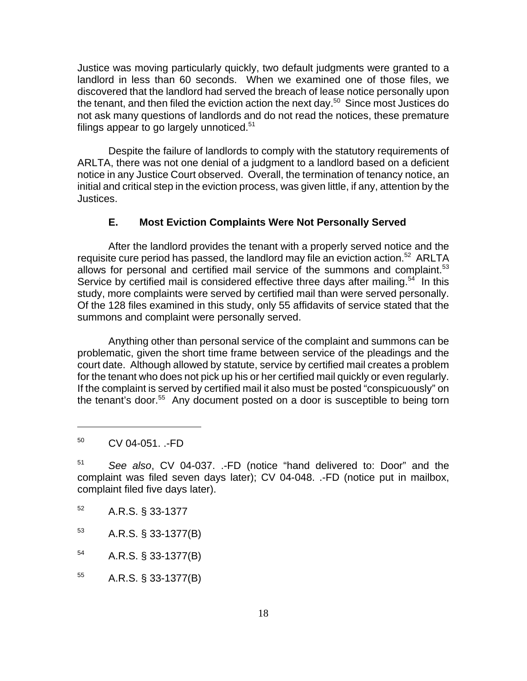Justice was moving particularly quickly, two default judgments were granted to a landlord in less than 60 seconds. When we examined one of those files, we discovered that the landlord had served the breach of lease notice personally upon the tenant, and then filed the eviction action the next day.<sup>50</sup> Since most Justices do not ask many questions of landlords and do not read the notices, these premature filings appear to go largely unnoticed. $51$ 

Despite the failure of landlords to comply with the statutory requirements of ARLTA, there was not one denial of a judgment to a landlord based on a deficient notice in any Justice Court observed. Overall, the termination of tenancy notice, an initial and critical step in the eviction process, was given little, if any, attention by the Justices.

# **E. Most Eviction Complaints Were Not Personally Served**

After the landlord provides the tenant with a properly served notice and the requisite cure period has passed, the landlord may file an eviction action.<sup>52</sup> ARLTA allows for personal and certified mail service of the summons and complaint. $53$ Service by certified mail is considered effective three days after mailing.<sup>54</sup> In this study, more complaints were served by certified mail than were served personally. Of the 128 files examined in this study, only 55 affidavits of service stated that the summons and complaint were personally served.

Anything other than personal service of the complaint and summons can be problematic, given the short time frame between service of the pleadings and the court date. Although allowed by statute, service by certified mail creates a problem for the tenant who does not pick up his or her certified mail quickly or even regularly. If the complaint is served by certified mail it also must be posted "conspicuously" on the tenant's door.<sup>55</sup> Any document posted on a door is susceptible to being torn

- <sup>52</sup> A.R.S. § 33-1377
- $^{53}$  A.R.S. § 33-1377(B)
- <sup>54</sup> A.R.S. § 33-1377(B)

<sup>55</sup> A.R.S. § 33-1377(B)

<sup>50</sup> CV 04-051. .-FD

<sup>51</sup> *See also*, CV 04-037. .-FD (notice "hand delivered to: Door" and the complaint was filed seven days later); CV 04-048. .-FD (notice put in mailbox, complaint filed five days later).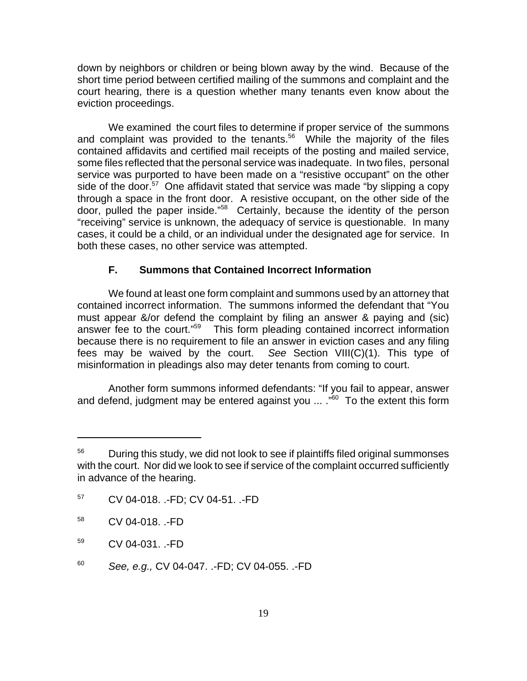down by neighbors or children or being blown away by the wind. Because of the short time period between certified mailing of the summons and complaint and the court hearing, there is a question whether many tenants even know about the eviction proceedings.

We examined the court files to determine if proper service of the summons and complaint was provided to the tenants.<sup>56</sup> While the majority of the files contained affidavits and certified mail receipts of the posting and mailed service, some files reflected that the personal service was inadequate. In two files, personal service was purported to have been made on a "resistive occupant" on the other side of the door.<sup>57</sup> One affidavit stated that service was made "by slipping a copy" through a space in the front door. A resistive occupant, on the other side of the door, pulled the paper inside."58 Certainly, because the identity of the person "receiving" service is unknown, the adequacy of service is questionable. In many cases, it could be a child, or an individual under the designated age for service. In both these cases, no other service was attempted.

# **F. Summons that Contained Incorrect Information**

We found at least one form complaint and summons used by an attorney that contained incorrect information. The summons informed the defendant that "You must appear &/or defend the complaint by filing an answer & paying and (sic) answer fee to the court."59 This form pleading contained incorrect information because there is no requirement to file an answer in eviction cases and any filing fees may be waived by the court. *See* Section VIII(C)(1). This type of misinformation in pleadings also may deter tenants from coming to court.

Another form summons informed defendants: "If you fail to appear, answer and defend, judgment may be entered against you ... ."<sup>60</sup> To the extent this form

<sup>57</sup> CV 04-018. .-FD; CV 04-51. .-FD

 $56$  During this study, we did not look to see if plaintiffs filed original summonses with the court. Nor did we look to see if service of the complaint occurred sufficiently in advance of the hearing.

<sup>58</sup> CV 04-018. .-FD

<sup>59</sup> CV 04-031. .-FD

<sup>60</sup> *See, e.g.,* CV 04-047. .-FD; CV 04-055. .-FD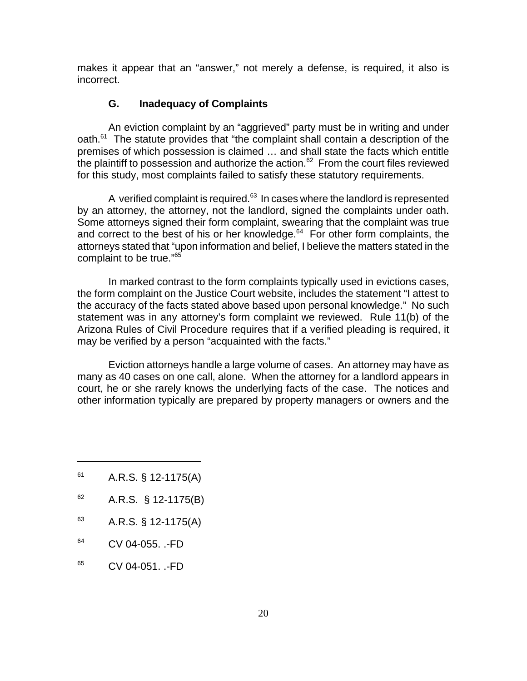makes it appear that an "answer," not merely a defense, is required, it also is incorrect.

#### **G. Inadequacy of Complaints**

An eviction complaint by an "aggrieved" party must be in writing and under oath.61 The statute provides that "the complaint shall contain a description of the premises of which possession is claimed … and shall state the facts which entitle the plaintiff to possession and authorize the action.<sup>62</sup> From the court files reviewed for this study, most complaints failed to satisfy these statutory requirements.

A verified complaint is required. $63$  In cases where the landlord is represented by an attorney, the attorney, not the landlord, signed the complaints under oath. Some attorneys signed their form complaint, swearing that the complaint was true and correct to the best of his or her knowledge. $64$  For other form complaints, the attorneys stated that "upon information and belief, I believe the matters stated in the complaint to be true."<sup>65</sup>

In marked contrast to the form complaints typically used in evictions cases, the form complaint on the Justice Court website, includes the statement "I attest to the accuracy of the facts stated above based upon personal knowledge." No such statement was in any attorney's form complaint we reviewed. Rule 11(b) of the Arizona Rules of Civil Procedure requires that if a verified pleading is required, it may be verified by a person "acquainted with the facts."

Eviction attorneys handle a large volume of cases. An attorney may have as many as 40 cases on one call, alone. When the attorney for a landlord appears in court, he or she rarely knows the underlying facts of the case. The notices and other information typically are prepared by property managers or owners and the

- $61$  A.R.S. § 12-1175(A)
- $62$  A.R.S. § 12-1175(B)
- $^{63}$  A.R.S. § 12-1175(A)
- <sup>64</sup> CV 04-055. .-FD
- $65$  CV 04-051. .-FD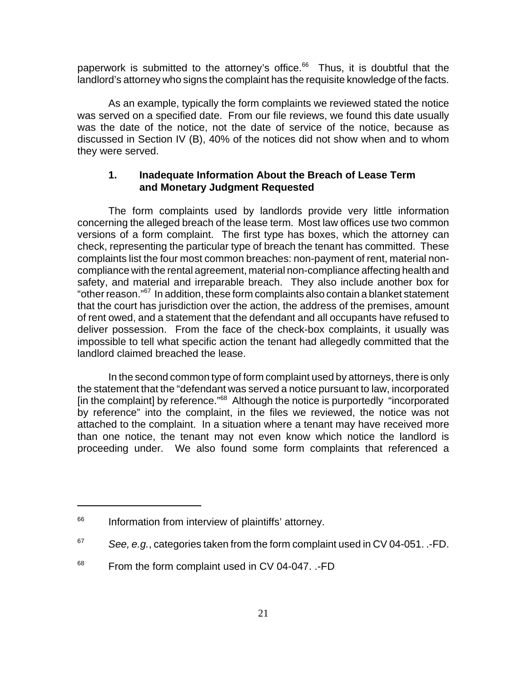paperwork is submitted to the attorney's office.<sup>66</sup> Thus, it is doubtful that the landlord's attorney who signs the complaint has the requisite knowledge of the facts.

As an example, typically the form complaints we reviewed stated the notice was served on a specified date. From our file reviews, we found this date usually was the date of the notice, not the date of service of the notice, because as discussed in Section IV (B), 40% of the notices did not show when and to whom they were served.

# **1. Inadequate Information About the Breach of Lease Term and Monetary Judgment Requested**

The form complaints used by landlords provide very little information concerning the alleged breach of the lease term. Most law offices use two common versions of a form complaint. The first type has boxes, which the attorney can check, representing the particular type of breach the tenant has committed. These complaints list the four most common breaches: non-payment of rent, material noncompliance with the rental agreement, material non-compliance affecting health and safety, and material and irreparable breach. They also include another box for "other reason."67 In addition, these form complaints also contain a blanket statement that the court has jurisdiction over the action, the address of the premises, amount of rent owed, and a statement that the defendant and all occupants have refused to deliver possession. From the face of the check-box complaints, it usually was impossible to tell what specific action the tenant had allegedly committed that the landlord claimed breached the lease.

In the second common type of form complaint used by attorneys, there is only the statement that the "defendant was served a notice pursuant to law, incorporated [in the complaint] by reference."<sup>68</sup> Although the notice is purportedly "incorporated by reference" into the complaint, in the files we reviewed, the notice was not attached to the complaint. In a situation where a tenant may have received more than one notice, the tenant may not even know which notice the landlord is proceeding under. We also found some form complaints that referenced a

<sup>&</sup>lt;sup>66</sup> Information from interview of plaintiffs' attorney.

<sup>67</sup> *See, e.g.*, categories taken from the form complaint used in CV 04-051. .-FD.

<sup>&</sup>lt;sup>68</sup> From the form complaint used in CV 04-047. .-FD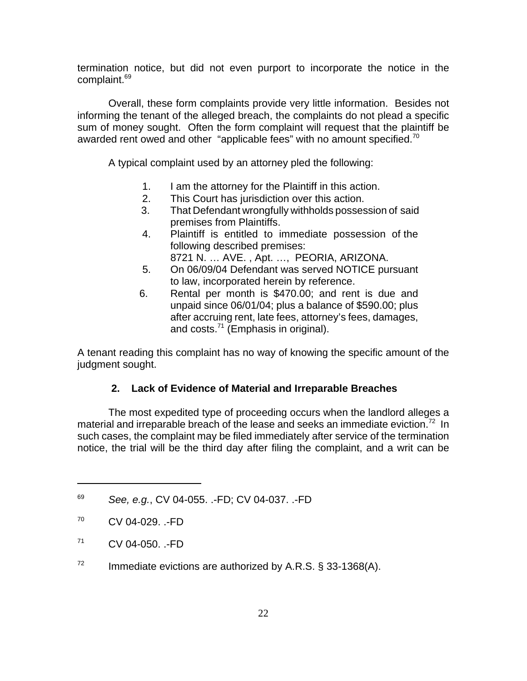termination notice, but did not even purport to incorporate the notice in the complaint.<sup>69</sup>

Overall, these form complaints provide very little information. Besides not informing the tenant of the alleged breach, the complaints do not plead a specific sum of money sought. Often the form complaint will request that the plaintiff be awarded rent owed and other "applicable fees" with no amount specified.<sup>70</sup>

A typical complaint used by an attorney pled the following:

- 1. I am the attorney for the Plaintiff in this action.
- 2. This Court has jurisdiction over this action.
- 3. That Defendant wrongfully withholds possession of said premises from Plaintiffs.
- 4. Plaintiff is entitled to immediate possession of the following described premises:

8721 N. … AVE. , Apt. …, PEORIA, ARIZONA.

- 5. On 06/09/04 Defendant was served NOTICE pursuant to law, incorporated herein by reference.
- 6. Rental per month is \$470.00; and rent is due and unpaid since 06/01/04; plus a balance of \$590.00; plus after accruing rent, late fees, attorney's fees, damages, and costs.<sup>71</sup> (Emphasis in original).

A tenant reading this complaint has no way of knowing the specific amount of the judgment sought.

# **2. Lack of Evidence of Material and Irreparable Breaches**

The most expedited type of proceeding occurs when the landlord alleges a material and irreparable breach of the lease and seeks an immediate eviction.<sup>72</sup> In such cases, the complaint may be filed immediately after service of the termination notice, the trial will be the third day after filing the complaint, and a writ can be

 $72$  Immediate evictions are authorized by A.R.S. § 33-1368(A).

<sup>69</sup> *See, e.g.*, CV 04-055. .-FD; CV 04-037. .-FD

 $^{70}$  CV 04-029.  $\cdot$ FD

 $^{71}$  CV 04-050.  $\cdot$ -FD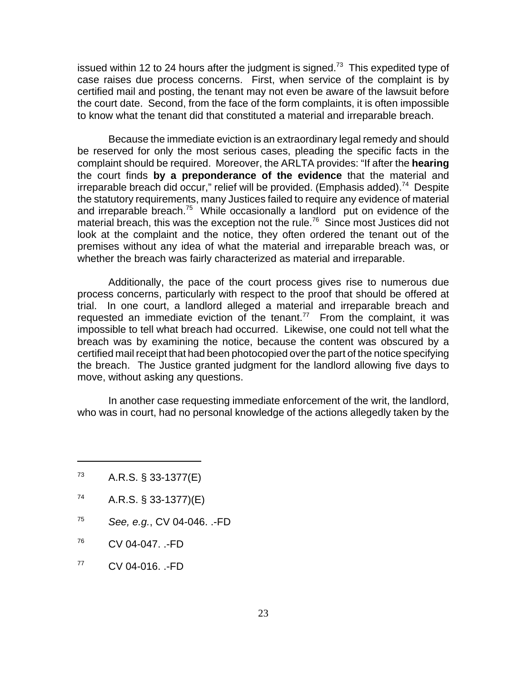issued within 12 to 24 hours after the judgment is signed. $73$  This expedited type of case raises due process concerns. First, when service of the complaint is by certified mail and posting, the tenant may not even be aware of the lawsuit before the court date. Second, from the face of the form complaints, it is often impossible to know what the tenant did that constituted a material and irreparable breach.

Because the immediate eviction is an extraordinary legal remedy and should be reserved for only the most serious cases, pleading the specific facts in the complaint should be required. Moreover, the ARLTA provides: "If after the **hearing** the court finds **by a preponderance of the evidence** that the material and irreparable breach did occur," relief will be provided. (Emphasis added).<sup>74</sup> Despite the statutory requirements, many Justices failed to require any evidence of material and irreparable breach.75 While occasionally a landlord put on evidence of the material breach, this was the exception not the rule.<sup>76</sup> Since most Justices did not look at the complaint and the notice, they often ordered the tenant out of the premises without any idea of what the material and irreparable breach was, or whether the breach was fairly characterized as material and irreparable.

Additionally, the pace of the court process gives rise to numerous due process concerns, particularly with respect to the proof that should be offered at trial. In one court, a landlord alleged a material and irreparable breach and requested an immediate eviction of the tenant.<sup>77</sup> From the complaint, it was impossible to tell what breach had occurred. Likewise, one could not tell what the breach was by examining the notice, because the content was obscured by a certified mail receipt that had been photocopied over the part of the notice specifying the breach. The Justice granted judgment for the landlord allowing five days to move, without asking any questions.

In another case requesting immediate enforcement of the writ, the landlord, who was in court, had no personal knowledge of the actions allegedly taken by the

- $73$  A.R.S. § 33-1377(E)
- $^{74}$  A.R.S. § 33-1377)(E)
- <sup>75</sup> *See, e.g.*, CV 04-046. .-FD
- $^{76}$  CV 04-047.  $\cdot$ -FD
- $^{77}$  CV 04-016. .-FD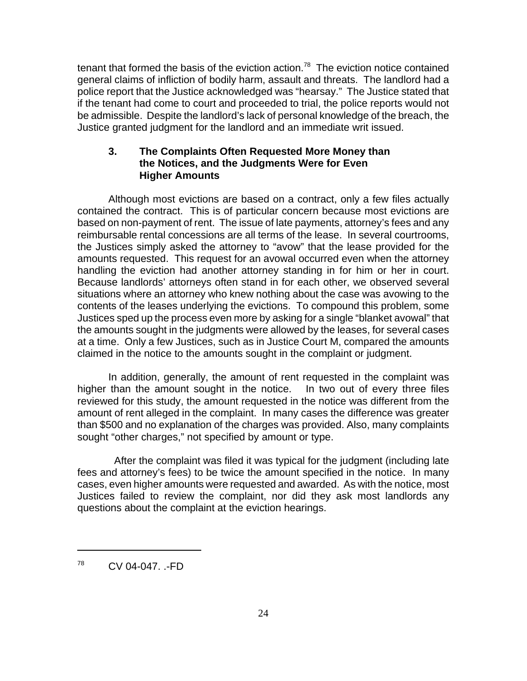tenant that formed the basis of the eviction action.<sup>78</sup> The eviction notice contained general claims of infliction of bodily harm, assault and threats. The landlord had a police report that the Justice acknowledged was "hearsay." The Justice stated that if the tenant had come to court and proceeded to trial, the police reports would not be admissible. Despite the landlord's lack of personal knowledge of the breach, the Justice granted judgment for the landlord and an immediate writ issued.

# **3. The Complaints Often Requested More Money than the Notices, and the Judgments Were for Even Higher Amounts**

Although most evictions are based on a contract, only a few files actually contained the contract. This is of particular concern because most evictions are based on non-payment of rent. The issue of late payments, attorney's fees and any reimbursable rental concessions are all terms of the lease. In several courtrooms, the Justices simply asked the attorney to "avow" that the lease provided for the amounts requested. This request for an avowal occurred even when the attorney handling the eviction had another attorney standing in for him or her in court. Because landlords' attorneys often stand in for each other, we observed several situations where an attorney who knew nothing about the case was avowing to the contents of the leases underlying the evictions. To compound this problem, some Justices sped up the process even more by asking for a single "blanket avowal" that the amounts sought in the judgments were allowed by the leases, for several cases at a time. Only a few Justices, such as in Justice Court M, compared the amounts claimed in the notice to the amounts sought in the complaint or judgment.

In addition, generally, the amount of rent requested in the complaint was higher than the amount sought in the notice. In two out of every three files reviewed for this study, the amount requested in the notice was different from the amount of rent alleged in the complaint. In many cases the difference was greater than \$500 and no explanation of the charges was provided. Also, many complaints sought "other charges," not specified by amount or type.

 After the complaint was filed it was typical for the judgment (including late fees and attorney's fees) to be twice the amount specified in the notice. In many cases, even higher amounts were requested and awarded. As with the notice, most Justices failed to review the complaint, nor did they ask most landlords any questions about the complaint at the eviction hearings.

<sup>78</sup> CV 04-047. .-FD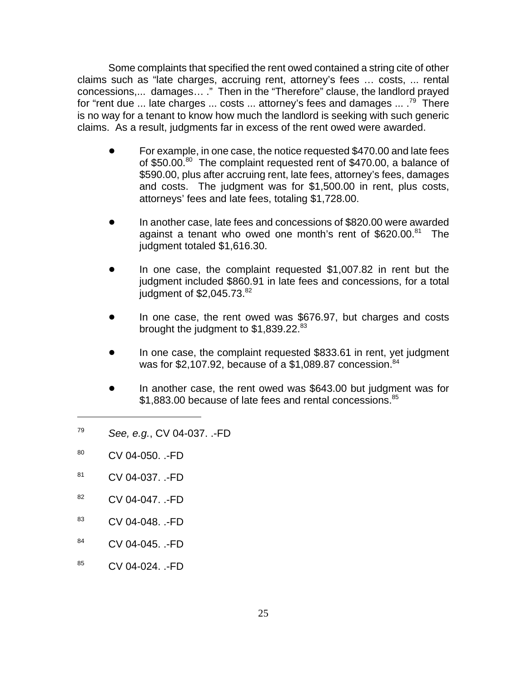Some complaints that specified the rent owed contained a string cite of other claims such as "late charges, accruing rent, attorney's fees … costs, ... rental concessions,... damages… ." Then in the "Therefore" clause, the landlord prayed for "rent due ... late charges ... costs ... attorney's fees and damages  $\ldots$ .<sup>79</sup> There is no way for a tenant to know how much the landlord is seeking with such generic claims. As a result, judgments far in excess of the rent owed were awarded.

- ! For example, in one case, the notice requested \$470.00 and late fees of \$50.00.<sup>80</sup> The complaint requested rent of \$470.00, a balance of \$590.00, plus after accruing rent, late fees, attorney's fees, damages and costs. The judgment was for \$1,500.00 in rent, plus costs, attorneys' fees and late fees, totaling \$1,728.00.
- In another case, late fees and concessions of \$820.00 were awarded against a tenant who owed one month's rent of  $$620.00$ .<sup>81</sup> The judgment totaled \$1,616.30.
- In one case, the complaint requested \$1,007.82 in rent but the judgment included \$860.91 in late fees and concessions, for a total judgment of  $$2,045.73<sup>82</sup>$
- In one case, the rent owed was \$676.97, but charges and costs brought the judgment to \$1,839.22.<sup>83</sup>
- In one case, the complaint requested \$833.61 in rent, yet judgment was for \$2,107.92, because of a \$1,089.87 concession. $84$
- In another case, the rent owed was \$643.00 but judgment was for \$1,883.00 because of late fees and rental concessions.<sup>85</sup>
- <sup>79</sup> *See, e.g.*, CV 04-037. .-FD
- 80 CV 04-050. .-FD
- 81 CV 04-037. .-FD
- 82 CV 04-047. .-FD
- <sup>83</sup> CV 04-048. .-FD
- 84 CV 04-045. .-FD
- 85 CV 04-024. .-FD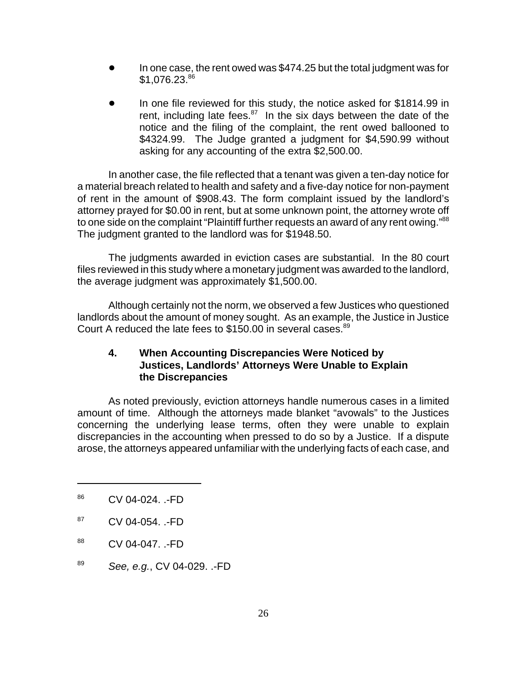- In one case, the rent owed was \$474.25 but the total judgment was for \$1,076.23.86
- In one file reviewed for this study, the notice asked for \$1814.99 in rent, including late fees. $87$  In the six days between the date of the notice and the filing of the complaint, the rent owed ballooned to \$4324.99. The Judge granted a judgment for \$4,590.99 without asking for any accounting of the extra \$2,500.00.

In another case, the file reflected that a tenant was given a ten-day notice for a material breach related to health and safety and a five-day notice for non-payment of rent in the amount of \$908.43. The form complaint issued by the landlord's attorney prayed for \$0.00 in rent, but at some unknown point, the attorney wrote off to one side on the complaint "Plaintiff further requests an award of any rent owing."<sup>88</sup> The judgment granted to the landlord was for \$1948.50.

The judgments awarded in eviction cases are substantial. In the 80 court files reviewed in this study where a monetary judgment was awarded to the landlord, the average judgment was approximately \$1,500.00.

Although certainly not the norm, we observed a few Justices who questioned landlords about the amount of money sought. As an example, the Justice in Justice Court A reduced the late fees to \$150.00 in several cases.<sup>89</sup>

# **4. When Accounting Discrepancies Were Noticed by Justices, Landlords' Attorneys Were Unable to Explain the Discrepancies**

As noted previously, eviction attorneys handle numerous cases in a limited amount of time. Although the attorneys made blanket "avowals" to the Justices concerning the underlying lease terms, often they were unable to explain discrepancies in the accounting when pressed to do so by a Justice. If a dispute arose, the attorneys appeared unfamiliar with the underlying facts of each case, and

<sup>89</sup> *See, e.g.*, CV 04-029. .-FD

<sup>86</sup> CV 04-024. .-FD

 $87$  CV 04-054.  $-FD$ 

<sup>&</sup>lt;sup>88</sup> CV 04-047. .-FD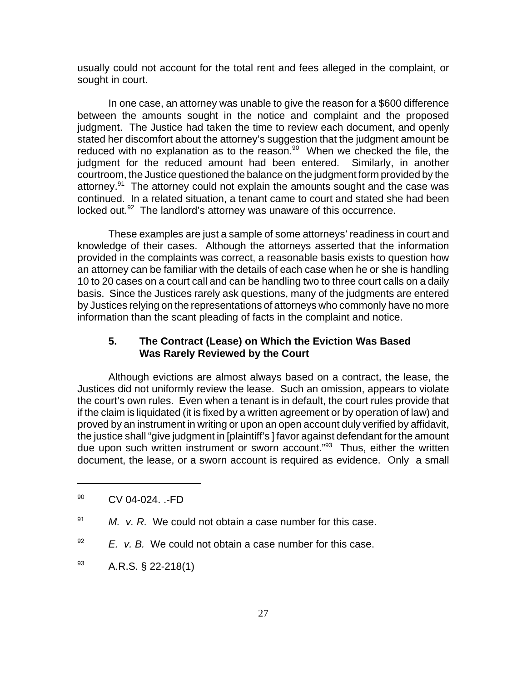usually could not account for the total rent and fees alleged in the complaint, or sought in court.

In one case, an attorney was unable to give the reason for a \$600 difference between the amounts sought in the notice and complaint and the proposed judgment. The Justice had taken the time to review each document, and openly stated her discomfort about the attorney's suggestion that the judgment amount be reduced with no explanation as to the reason. $90$  When we checked the file, the judgment for the reduced amount had been entered. Similarly, in another courtroom, the Justice questioned the balance on the judgment form provided by the attorney.<sup>91</sup> The attorney could not explain the amounts sought and the case was continued. In a related situation, a tenant came to court and stated she had been locked out. $92$  The landlord's attorney was unaware of this occurrence.

These examples are just a sample of some attorneys' readiness in court and knowledge of their cases. Although the attorneys asserted that the information provided in the complaints was correct, a reasonable basis exists to question how an attorney can be familiar with the details of each case when he or she is handling 10 to 20 cases on a court call and can be handling two to three court calls on a daily basis. Since the Justices rarely ask questions, many of the judgments are entered by Justices relying on the representations of attorneys who commonly have no more information than the scant pleading of facts in the complaint and notice.

# **5. The Contract (Lease) on Which the Eviction Was Based Was Rarely Reviewed by the Court**

Although evictions are almost always based on a contract, the lease, the Justices did not uniformly review the lease. Such an omission, appears to violate the court's own rules. Even when a tenant is in default, the court rules provide that if the claim is liquidated (it is fixed by a written agreement or by operation of law) and proved by an instrument in writing or upon an open account duly verified by affidavit, the justice shall "give judgment in [plaintiff's ] favor against defendant for the amount due upon such written instrument or sworn account."93 Thus, either the written document, the lease, or a sworn account is required as evidence. Only a small

<sup>&</sup>lt;sup>90</sup> CV 04-024. .-FD

<sup>91</sup> *M. v. R.* We could not obtain a case number for this case.

<sup>92</sup> *E. v. B.* We could not obtain a case number for this case.

 $^{93}$  A.R.S. § 22-218(1)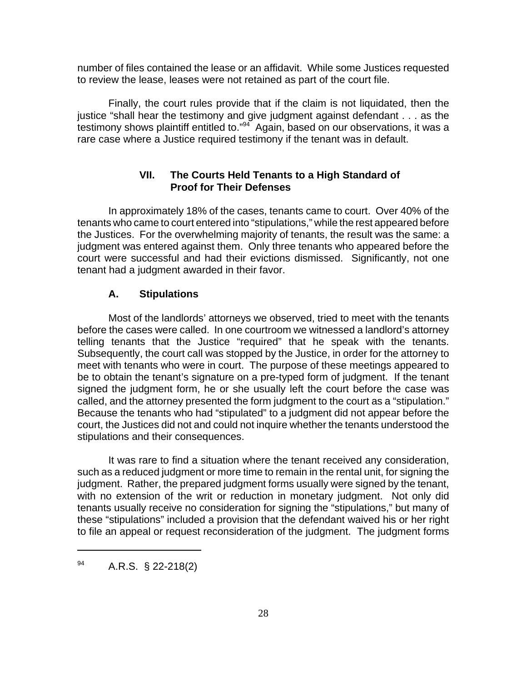number of files contained the lease or an affidavit. While some Justices requested to review the lease, leases were not retained as part of the court file.

Finally, the court rules provide that if the claim is not liquidated, then the justice "shall hear the testimony and give judgment against defendant . . . as the testimony shows plaintiff entitled to." $94$  Again, based on our observations, it was a rare case where a Justice required testimony if the tenant was in default.

# **VII. The Courts Held Tenants to a High Standard of Proof for Their Defenses**

In approximately 18% of the cases, tenants came to court. Over 40% of the tenants who came to court entered into "stipulations," while the rest appeared before the Justices. For the overwhelming majority of tenants, the result was the same: a judgment was entered against them. Only three tenants who appeared before the court were successful and had their evictions dismissed. Significantly, not one tenant had a judgment awarded in their favor.

#### **A. Stipulations**

Most of the landlords' attorneys we observed, tried to meet with the tenants before the cases were called. In one courtroom we witnessed a landlord's attorney telling tenants that the Justice "required" that he speak with the tenants. Subsequently, the court call was stopped by the Justice, in order for the attorney to meet with tenants who were in court. The purpose of these meetings appeared to be to obtain the tenant's signature on a pre-typed form of judgment. If the tenant signed the judgment form, he or she usually left the court before the case was called, and the attorney presented the form judgment to the court as a "stipulation." Because the tenants who had "stipulated" to a judgment did not appear before the court, the Justices did not and could not inquire whether the tenants understood the stipulations and their consequences.

It was rare to find a situation where the tenant received any consideration, such as a reduced judgment or more time to remain in the rental unit, for signing the judgment. Rather, the prepared judgment forms usually were signed by the tenant, with no extension of the writ or reduction in monetary judgment. Not only did tenants usually receive no consideration for signing the "stipulations," but many of these "stipulations" included a provision that the defendant waived his or her right to file an appeal or request reconsideration of the judgment. The judgment forms

 $^{94}$  A.R.S. § 22-218(2)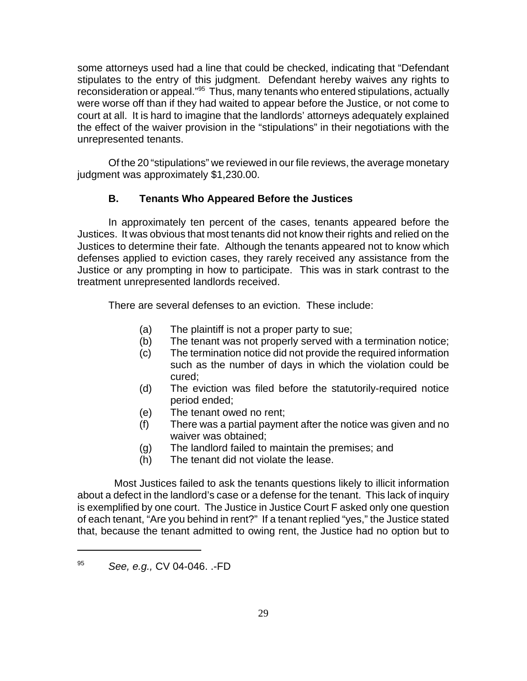some attorneys used had a line that could be checked, indicating that "Defendant stipulates to the entry of this judgment. Defendant hereby waives any rights to reconsideration or appeal."95 Thus, many tenants who entered stipulations, actually were worse off than if they had waited to appear before the Justice, or not come to court at all. It is hard to imagine that the landlords' attorneys adequately explained the effect of the waiver provision in the "stipulations" in their negotiations with the unrepresented tenants.

Of the 20 "stipulations" we reviewed in our file reviews, the average monetary judgment was approximately \$1,230.00.

# **B. Tenants Who Appeared Before the Justices**

In approximately ten percent of the cases, tenants appeared before the Justices. It was obvious that most tenants did not know their rights and relied on the Justices to determine their fate. Although the tenants appeared not to know which defenses applied to eviction cases, they rarely received any assistance from the Justice or any prompting in how to participate. This was in stark contrast to the treatment unrepresented landlords received.

There are several defenses to an eviction. These include:

- (a) The plaintiff is not a proper party to sue;
- (b) The tenant was not properly served with a termination notice;
- (c) The termination notice did not provide the required information such as the number of days in which the violation could be cured;
- (d) The eviction was filed before the statutorily-required notice period ended;
- (e) The tenant owed no rent;
- (f) There was a partial payment after the notice was given and no waiver was obtained;
- (g) The landlord failed to maintain the premises; and
- (h) The tenant did not violate the lease.

 Most Justices failed to ask the tenants questions likely to illicit information about a defect in the landlord's case or a defense for the tenant. This lack of inquiry is exemplified by one court. The Justice in Justice Court F asked only one question of each tenant, "Are you behind in rent?" If a tenant replied "yes," the Justice stated that, because the tenant admitted to owing rent, the Justice had no option but to

<sup>95</sup> *See, e.g.,* CV 04-046. .-FD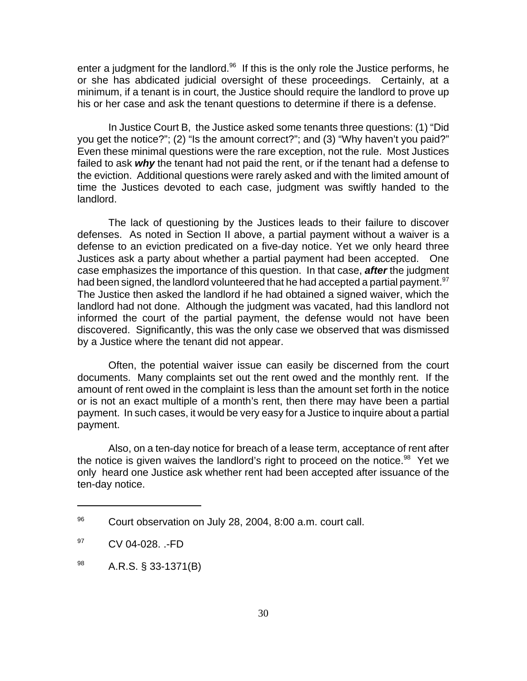enter a judgment for the landlord. $96$  If this is the only role the Justice performs, he or she has abdicated judicial oversight of these proceedings. Certainly, at a minimum, if a tenant is in court, the Justice should require the landlord to prove up his or her case and ask the tenant questions to determine if there is a defense.

In Justice Court B, the Justice asked some tenants three questions: (1) "Did you get the notice?"; (2) "Is the amount correct?"; and (3) "Why haven't you paid?" Even these minimal questions were the rare exception, not the rule. Most Justices failed to ask *why* the tenant had not paid the rent, or if the tenant had a defense to the eviction. Additional questions were rarely asked and with the limited amount of time the Justices devoted to each case, judgment was swiftly handed to the landlord.

The lack of questioning by the Justices leads to their failure to discover defenses. As noted in Section II above, a partial payment without a waiver is a defense to an eviction predicated on a five-day notice. Yet we only heard three Justices ask a party about whether a partial payment had been accepted. One case emphasizes the importance of this question. In that case, *after* the judgment had been signed, the landlord volunteered that he had accepted a partial payment.<sup>97</sup> The Justice then asked the landlord if he had obtained a signed waiver, which the landlord had not done. Although the judgment was vacated, had this landlord not informed the court of the partial payment, the defense would not have been discovered. Significantly, this was the only case we observed that was dismissed by a Justice where the tenant did not appear.

Often, the potential waiver issue can easily be discerned from the court documents. Many complaints set out the rent owed and the monthly rent. If the amount of rent owed in the complaint is less than the amount set forth in the notice or is not an exact multiple of a month's rent, then there may have been a partial payment. In such cases, it would be very easy for a Justice to inquire about a partial payment.

Also, on a ten-day notice for breach of a lease term, acceptance of rent after the notice is given waives the landlord's right to proceed on the notice.<sup>98</sup> Yet we only heard one Justice ask whether rent had been accepted after issuance of the ten-day notice.

<sup>96</sup> Court observation on July 28, 2004, 8:00 a.m. court call.

 $^{97}$  CV 04-028. .-FD

 $^{98}$  A.R.S. § 33-1371(B)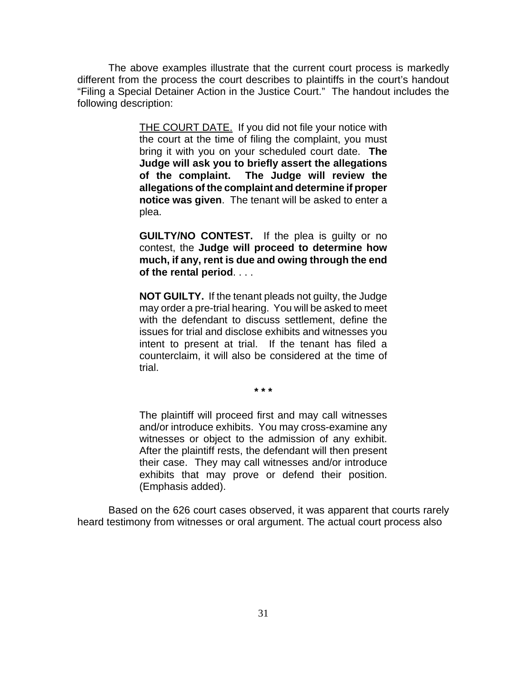The above examples illustrate that the current court process is markedly different from the process the court describes to plaintiffs in the court's handout "Filing a Special Detainer Action in the Justice Court." The handout includes the following description:

> THE COURT DATE. If you did not file your notice with the court at the time of filing the complaint, you must bring it with you on your scheduled court date. **The Judge will ask you to briefly assert the allegations of the complaint. The Judge will review the allegations of the complaint and determine if proper notice was given**. The tenant will be asked to enter a plea.

> **GUILTY/NO CONTEST.** If the plea is guilty or no contest, the **Judge will proceed to determine how much, if any, rent is due and owing through the end of the rental period**. . . .

> **NOT GUILTY.** If the tenant pleads not guilty, the Judge may order a pre-trial hearing. You will be asked to meet with the defendant to discuss settlement, define the issues for trial and disclose exhibits and witnesses you intent to present at trial. If the tenant has filed a counterclaim, it will also be considered at the time of trial.

> > **\* \* \***

The plaintiff will proceed first and may call witnesses and/or introduce exhibits. You may cross-examine any witnesses or object to the admission of any exhibit. After the plaintiff rests, the defendant will then present their case. They may call witnesses and/or introduce exhibits that may prove or defend their position. (Emphasis added).

Based on the 626 court cases observed, it was apparent that courts rarely heard testimony from witnesses or oral argument. The actual court process also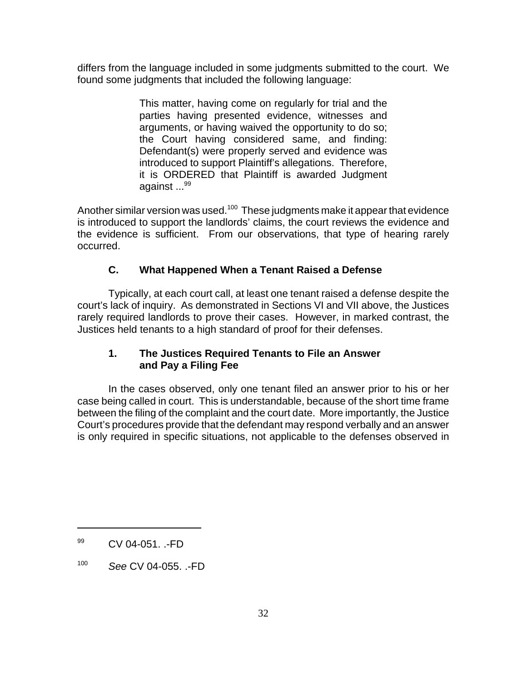differs from the language included in some judgments submitted to the court. We found some judgments that included the following language:

> This matter, having come on regularly for trial and the parties having presented evidence, witnesses and arguments, or having waived the opportunity to do so; the Court having considered same, and finding: Defendant(s) were properly served and evidence was introduced to support Plaintiff's allegations. Therefore, it is ORDERED that Plaintiff is awarded Judgment against ...<sup>99</sup>

Another similar version was used.<sup>100</sup> These judgments make it appear that evidence is introduced to support the landlords' claims, the court reviews the evidence and the evidence is sufficient. From our observations, that type of hearing rarely occurred.

# **C. What Happened When a Tenant Raised a Defense**

Typically, at each court call, at least one tenant raised a defense despite the court's lack of inquiry. As demonstrated in Sections VI and VII above, the Justices rarely required landlords to prove their cases. However, in marked contrast, the Justices held tenants to a high standard of proof for their defenses.

# **1. The Justices Required Tenants to File an Answer and Pay a Filing Fee**

In the cases observed, only one tenant filed an answer prior to his or her case being called in court. This is understandable, because of the short time frame between the filing of the complaint and the court date. More importantly, the Justice Court's procedures provide that the defendant may respond verbally and an answer is only required in specific situations, not applicable to the defenses observed in

<sup>&</sup>lt;sup>99</sup> CV 04-051. .-FD

<sup>100</sup> *See* CV 04-055. .-FD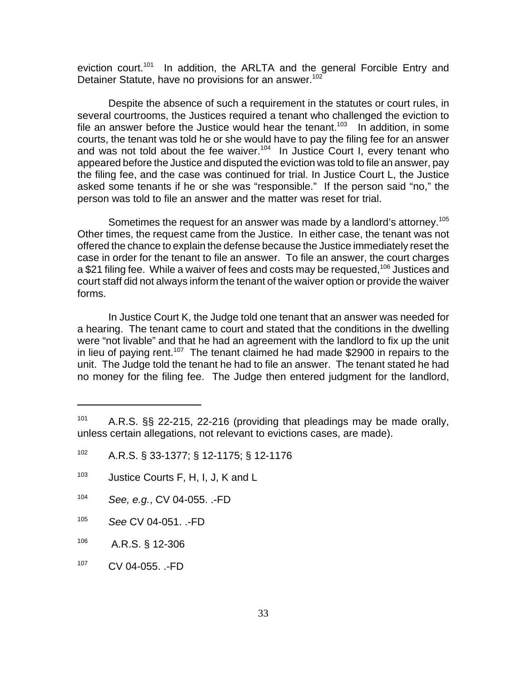eviction court.<sup>101</sup> In addition, the ARLTA and the general Forcible Entry and Detainer Statute, have no provisions for an answer.<sup>102</sup>

Despite the absence of such a requirement in the statutes or court rules, in several courtrooms, the Justices required a tenant who challenged the eviction to file an answer before the Justice would hear the tenant.<sup>103</sup> In addition, in some courts, the tenant was told he or she would have to pay the filing fee for an answer and was not told about the fee waiver.<sup>104</sup> In Justice Court I, every tenant who appeared before the Justice and disputed the eviction was told to file an answer, pay the filing fee, and the case was continued for trial. In Justice Court L, the Justice asked some tenants if he or she was "responsible." If the person said "no," the person was told to file an answer and the matter was reset for trial.

Sometimes the request for an answer was made by a landlord's attorney.<sup>105</sup> Other times, the request came from the Justice. In either case, the tenant was not offered the chance to explain the defense because the Justice immediately reset the case in order for the tenant to file an answer. To file an answer, the court charges a \$21 filing fee. While a waiver of fees and costs may be requested,<sup>106</sup> Justices and court staff did not always inform the tenant of the waiver option or provide the waiver forms.

In Justice Court K, the Judge told one tenant that an answer was needed for a hearing. The tenant came to court and stated that the conditions in the dwelling were "not livable" and that he had an agreement with the landlord to fix up the unit in lieu of paying rent.<sup>107</sup> The tenant claimed he had made \$2900 in repairs to the unit. The Judge told the tenant he had to file an answer. The tenant stated he had no money for the filing fee. The Judge then entered judgment for the landlord,

- <sup>104</sup> *See, e.g.*, CV 04-055. .-FD
- <sup>105</sup> *See* CV 04-051. .-FD
- 106 A.R.S. § 12-306
- <sup>107</sup> CV 04-055. .-FD

<sup>&</sup>lt;sup>101</sup> A.R.S. §§ 22-215, 22-216 (providing that pleadings may be made orally, unless certain allegations, not relevant to evictions cases, are made).

<sup>102</sup> A.R.S. § 33-1377; § 12-1175; § 12-1176

<sup>103</sup> Justice Courts F, H, I, J, K and L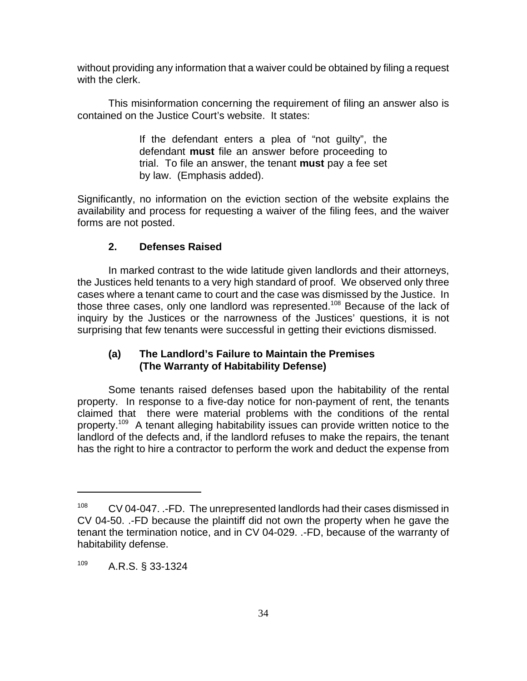without providing any information that a waiver could be obtained by filing a request with the clerk.

This misinformation concerning the requirement of filing an answer also is contained on the Justice Court's website. It states:

> If the defendant enters a plea of "not guilty", the defendant **must** file an answer before proceeding to trial. To file an answer, the tenant **must** pay a fee set by law. (Emphasis added).

Significantly, no information on the eviction section of the website explains the availability and process for requesting a waiver of the filing fees, and the waiver forms are not posted.

# **2. Defenses Raised**

In marked contrast to the wide latitude given landlords and their attorneys, the Justices held tenants to a very high standard of proof. We observed only three cases where a tenant came to court and the case was dismissed by the Justice. In those three cases, only one landlord was represented.<sup>108</sup> Because of the lack of inquiry by the Justices or the narrowness of the Justices' questions, it is not surprising that few tenants were successful in getting their evictions dismissed.

# **(a) The Landlord's Failure to Maintain the Premises (The Warranty of Habitability Defense)**

Some tenants raised defenses based upon the habitability of the rental property. In response to a five-day notice for non-payment of rent, the tenants claimed that there were material problems with the conditions of the rental property.109 A tenant alleging habitability issues can provide written notice to the landlord of the defects and, if the landlord refuses to make the repairs, the tenant has the right to hire a contractor to perform the work and deduct the expense from

<sup>&</sup>lt;sup>108</sup> CV 04-047. .-FD. The unrepresented landlords had their cases dismissed in CV 04-50. .-FD because the plaintiff did not own the property when he gave the tenant the termination notice, and in CV 04-029. .-FD, because of the warranty of habitability defense.

<sup>109</sup> A.R.S. § 33-1324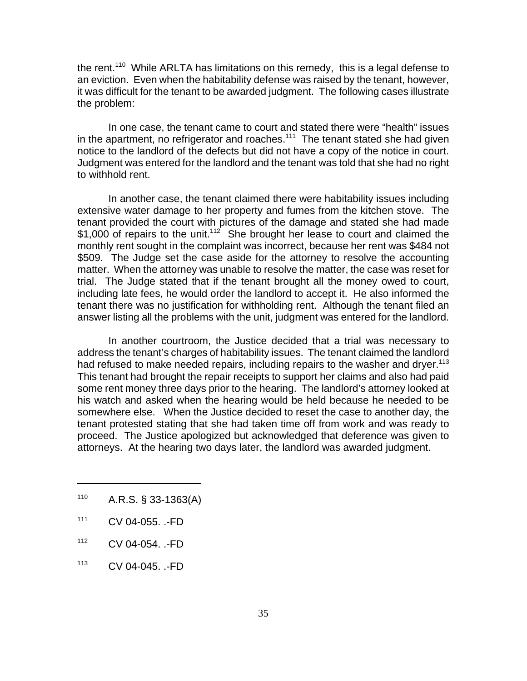the rent.<sup>110</sup> While ARLTA has limitations on this remedy, this is a legal defense to an eviction. Even when the habitability defense was raised by the tenant, however, it was difficult for the tenant to be awarded judgment. The following cases illustrate the problem:

In one case, the tenant came to court and stated there were "health" issues in the apartment, no refrigerator and roaches.<sup>111</sup> The tenant stated she had given notice to the landlord of the defects but did not have a copy of the notice in court. Judgment was entered for the landlord and the tenant was told that she had no right to withhold rent.

In another case, the tenant claimed there were habitability issues including extensive water damage to her property and fumes from the kitchen stove. The tenant provided the court with pictures of the damage and stated she had made  $$1,000$  of repairs to the unit.<sup>112</sup> She brought her lease to court and claimed the monthly rent sought in the complaint was incorrect, because her rent was \$484 not \$509. The Judge set the case aside for the attorney to resolve the accounting matter. When the attorney was unable to resolve the matter, the case was reset for trial. The Judge stated that if the tenant brought all the money owed to court, including late fees, he would order the landlord to accept it. He also informed the tenant there was no justification for withholding rent. Although the tenant filed an answer listing all the problems with the unit, judgment was entered for the landlord.

In another courtroom, the Justice decided that a trial was necessary to address the tenant's charges of habitability issues. The tenant claimed the landlord had refused to make needed repairs, including repairs to the washer and drver.<sup>113</sup> This tenant had brought the repair receipts to support her claims and also had paid some rent money three days prior to the hearing. The landlord's attorney looked at his watch and asked when the hearing would be held because he needed to be somewhere else. When the Justice decided to reset the case to another day, the tenant protested stating that she had taken time off from work and was ready to proceed. The Justice apologized but acknowledged that deference was given to attorneys. At the hearing two days later, the landlord was awarded judgment.

- $110$  A.R.S. § 33-1363(A)
- <sup>111</sup> CV 04-055. .-FD
- <sup>112</sup> CV 04-054. .-FD
- <sup>113</sup> CV 04-045. .-FD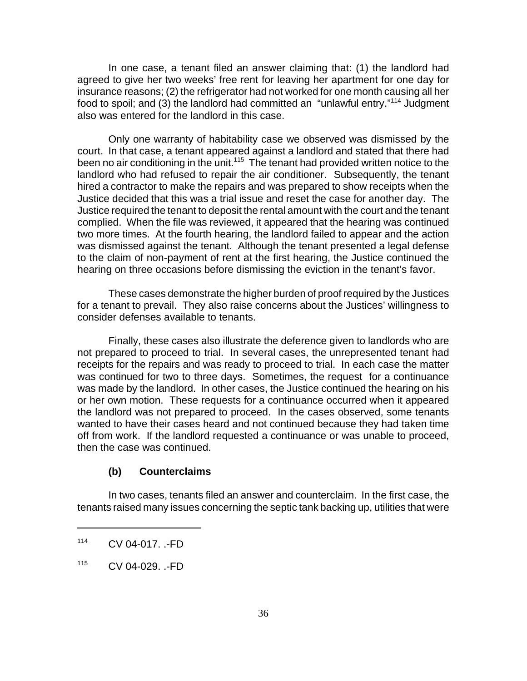In one case, a tenant filed an answer claiming that: (1) the landlord had agreed to give her two weeks' free rent for leaving her apartment for one day for insurance reasons; (2) the refrigerator had not worked for one month causing all her food to spoil; and (3) the landlord had committed an "unlawful entry."<sup>114</sup> Judgment also was entered for the landlord in this case.

Only one warranty of habitability case we observed was dismissed by the court. In that case, a tenant appeared against a landlord and stated that there had been no air conditioning in the unit.<sup>115</sup> The tenant had provided written notice to the landlord who had refused to repair the air conditioner. Subsequently, the tenant hired a contractor to make the repairs and was prepared to show receipts when the Justice decided that this was a trial issue and reset the case for another day. The Justice required the tenant to deposit the rental amount with the court and the tenant complied. When the file was reviewed, it appeared that the hearing was continued two more times. At the fourth hearing, the landlord failed to appear and the action was dismissed against the tenant. Although the tenant presented a legal defense to the claim of non-payment of rent at the first hearing, the Justice continued the hearing on three occasions before dismissing the eviction in the tenant's favor.

These cases demonstrate the higher burden of proof required by the Justices for a tenant to prevail. They also raise concerns about the Justices' willingness to consider defenses available to tenants.

Finally, these cases also illustrate the deference given to landlords who are not prepared to proceed to trial. In several cases, the unrepresented tenant had receipts for the repairs and was ready to proceed to trial. In each case the matter was continued for two to three days. Sometimes, the request for a continuance was made by the landlord. In other cases, the Justice continued the hearing on his or her own motion. These requests for a continuance occurred when it appeared the landlord was not prepared to proceed. In the cases observed, some tenants wanted to have their cases heard and not continued because they had taken time off from work. If the landlord requested a continuance or was unable to proceed, then the case was continued.

#### **(b) Counterclaims**

In two cases, tenants filed an answer and counterclaim. In the first case, the tenants raised many issues concerning the septic tank backing up, utilities that were

<sup>114</sup> CV 04-017. .-FD

<sup>115</sup> CV 04-029. .-FD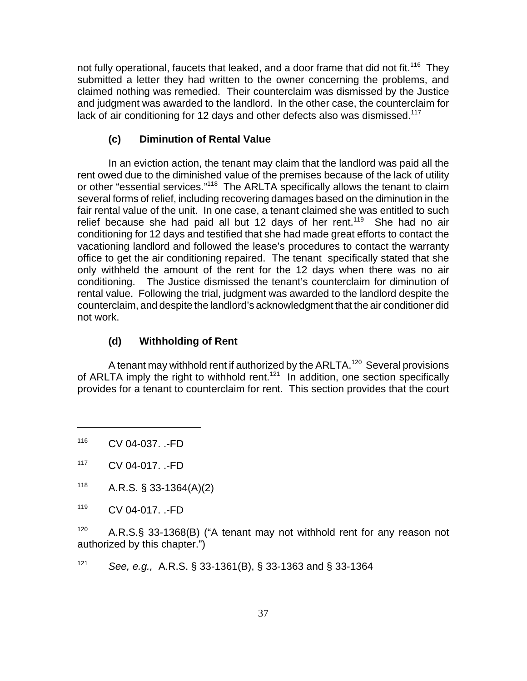not fully operational, faucets that leaked, and a door frame that did not fit.<sup>116</sup> Thev submitted a letter they had written to the owner concerning the problems, and claimed nothing was remedied. Their counterclaim was dismissed by the Justice and judgment was awarded to the landlord. In the other case, the counterclaim for lack of air conditioning for 12 days and other defects also was dismissed.<sup>117</sup>

# **(c) Diminution of Rental Value**

In an eviction action, the tenant may claim that the landlord was paid all the rent owed due to the diminished value of the premises because of the lack of utility or other "essential services."<sup>118</sup> The ARLTA specifically allows the tenant to claim several forms of relief, including recovering damages based on the diminution in the fair rental value of the unit. In one case, a tenant claimed she was entitled to such relief because she had paid all but 12 days of her rent.<sup>119</sup> She had no air conditioning for 12 days and testified that she had made great efforts to contact the vacationing landlord and followed the lease's procedures to contact the warranty office to get the air conditioning repaired. The tenant specifically stated that she only withheld the amount of the rent for the 12 days when there was no air conditioning. The Justice dismissed the tenant's counterclaim for diminution of rental value. Following the trial, judgment was awarded to the landlord despite the counterclaim, and despite the landlord's acknowledgment that the air conditioner did not work.

# **(d) Withholding of Rent**

A tenant may withhold rent if authorized by the ARLTA.<sup>120</sup> Several provisions of ARLTA imply the right to withhold rent.<sup>121</sup> In addition, one section specifically provides for a tenant to counterclaim for rent. This section provides that the court

<sup>119</sup> CV 04-017. .-FD

 $120$  A.R.S.§ 33-1368(B) ("A tenant may not withhold rent for any reason not authorized by this chapter.")

<sup>121</sup> *See, e.g.,* A.R.S. § 33-1361(B), § 33-1363 and § 33-1364

<sup>116</sup> CV 04-037. .-FD

<sup>117</sup> CV 04-017. .-FD

 $118$  A.R.S. § 33-1364(A)(2)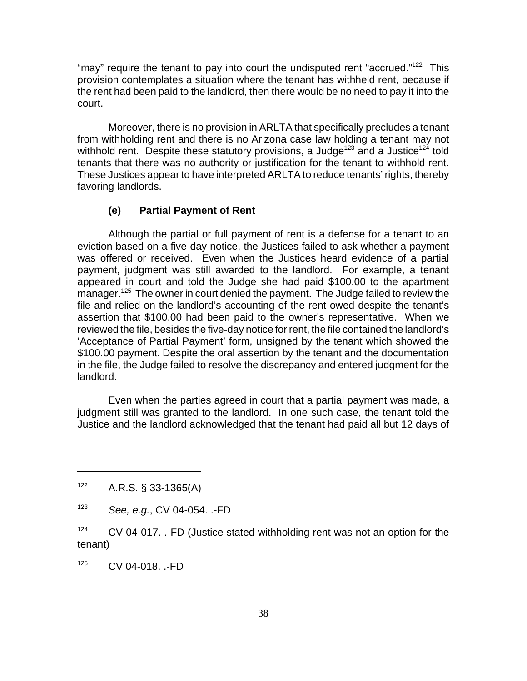"may" require the tenant to pay into court the undisputed rent "accrued."<sup>122</sup> This provision contemplates a situation where the tenant has withheld rent, because if the rent had been paid to the landlord, then there would be no need to pay it into the court.

Moreover, there is no provision in ARLTA that specifically precludes a tenant from withholding rent and there is no Arizona case law holding a tenant may not withhold rent. Despite these statutory provisions, a Judge<sup>123</sup> and a Justice<sup>124</sup> told tenants that there was no authority or justification for the tenant to withhold rent. These Justices appear to have interpreted ARLTA to reduce tenants' rights, thereby favoring landlords.

#### **(e) Partial Payment of Rent**

Although the partial or full payment of rent is a defense for a tenant to an eviction based on a five-day notice, the Justices failed to ask whether a payment was offered or received. Even when the Justices heard evidence of a partial payment, judgment was still awarded to the landlord. For example, a tenant appeared in court and told the Judge she had paid \$100.00 to the apartment manager.<sup>125</sup> The owner in court denied the payment. The Judge failed to review the file and relied on the landlord's accounting of the rent owed despite the tenant's assertion that \$100.00 had been paid to the owner's representative. When we reviewed the file, besides the five-day notice for rent, the file contained the landlord's 'Acceptance of Partial Payment' form, unsigned by the tenant which showed the \$100.00 payment. Despite the oral assertion by the tenant and the documentation in the file, the Judge failed to resolve the discrepancy and entered judgment for the landlord.

Even when the parties agreed in court that a partial payment was made, a judgment still was granted to the landlord. In one such case, the tenant told the Justice and the landlord acknowledged that the tenant had paid all but 12 days of

<sup>125</sup> CV 04-018. .-FD

 $122$  A.R.S. § 33-1365(A)

<sup>123</sup> *See, e.g.*, CV 04-054. .-FD

 $124$  CV 04-017. .-FD (Justice stated withholding rent was not an option for the tenant)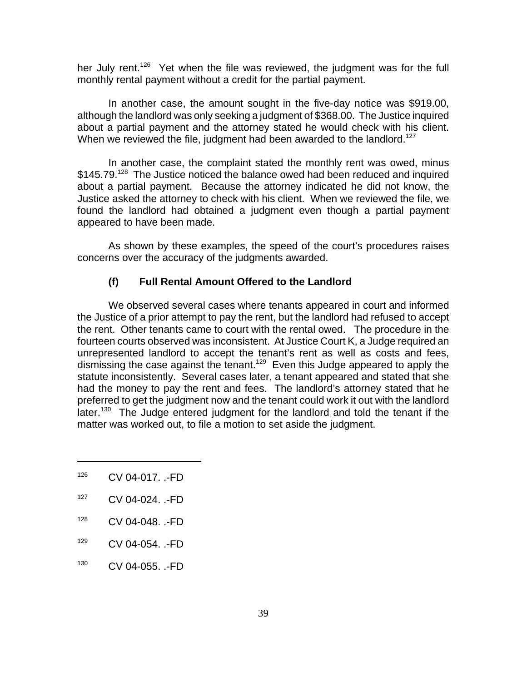her July rent.<sup>126</sup> Yet when the file was reviewed, the judgment was for the full monthly rental payment without a credit for the partial payment.

In another case, the amount sought in the five-day notice was \$919.00, although the landlord was only seeking a judgment of \$368.00. The Justice inquired about a partial payment and the attorney stated he would check with his client. When we reviewed the file, judgment had been awarded to the landlord.<sup>127</sup>

In another case, the complaint stated the monthly rent was owed, minus  $$145.79<sup>128</sup>$  The Justice noticed the balance owed had been reduced and inquired about a partial payment. Because the attorney indicated he did not know, the Justice asked the attorney to check with his client. When we reviewed the file, we found the landlord had obtained a judgment even though a partial payment appeared to have been made.

As shown by these examples, the speed of the court's procedures raises concerns over the accuracy of the judgments awarded.

#### **(f) Full Rental Amount Offered to the Landlord**

We observed several cases where tenants appeared in court and informed the Justice of a prior attempt to pay the rent, but the landlord had refused to accept the rent. Other tenants came to court with the rental owed. The procedure in the fourteen courts observed was inconsistent. At Justice Court K, a Judge required an unrepresented landlord to accept the tenant's rent as well as costs and fees, dismissing the case against the tenant.<sup>129</sup> Even this Judge appeared to apply the statute inconsistently. Several cases later, a tenant appeared and stated that she had the money to pay the rent and fees. The landlord's attorney stated that he preferred to get the judgment now and the tenant could work it out with the landlord later.<sup>130</sup> The Judge entered judgment for the landlord and told the tenant if the matter was worked out, to file a motion to set aside the judgment.

- <sup>126</sup> CV 04-017. .-FD
- <sup>127</sup> CV 04-024. .-FD
- <sup>128</sup> CV 04-048. .-FD
- <sup>129</sup> CV 04-054. .-FD
- <sup>130</sup> CV 04-055. .-FD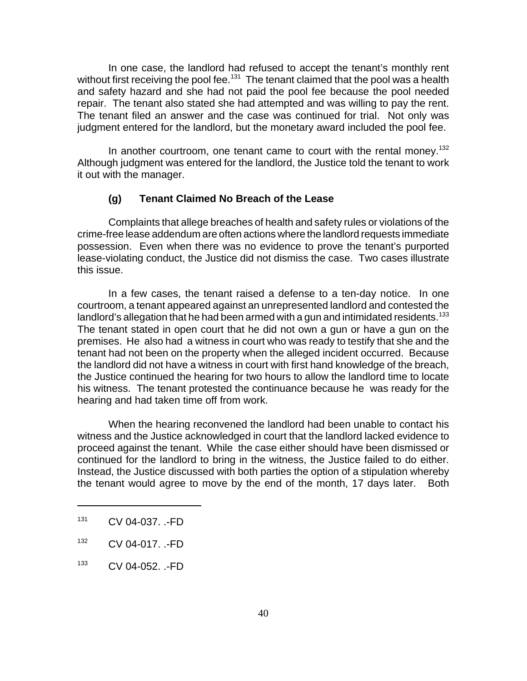In one case, the landlord had refused to accept the tenant's monthly rent without first receiving the pool fee.<sup>131</sup> The tenant claimed that the pool was a health and safety hazard and she had not paid the pool fee because the pool needed repair. The tenant also stated she had attempted and was willing to pay the rent. The tenant filed an answer and the case was continued for trial. Not only was judgment entered for the landlord, but the monetary award included the pool fee.

In another courtroom, one tenant came to court with the rental money.<sup>132</sup> Although judgment was entered for the landlord, the Justice told the tenant to work it out with the manager.

# **(g) Tenant Claimed No Breach of the Lease**

Complaints that allege breaches of health and safety rules or violations of the crime-free lease addendum are often actions where the landlord requests immediate possession. Even when there was no evidence to prove the tenant's purported lease-violating conduct, the Justice did not dismiss the case. Two cases illustrate this issue.

In a few cases, the tenant raised a defense to a ten-day notice. In one courtroom, a tenant appeared against an unrepresented landlord and contested the landlord's allegation that he had been armed with a gun and intimidated residents.<sup>133</sup> The tenant stated in open court that he did not own a gun or have a gun on the premises. He also had a witness in court who was ready to testify that she and the tenant had not been on the property when the alleged incident occurred. Because the landlord did not have a witness in court with first hand knowledge of the breach, the Justice continued the hearing for two hours to allow the landlord time to locate his witness. The tenant protested the continuance because he was ready for the hearing and had taken time off from work.

When the hearing reconvened the landlord had been unable to contact his witness and the Justice acknowledged in court that the landlord lacked evidence to proceed against the tenant. While the case either should have been dismissed or continued for the landlord to bring in the witness, the Justice failed to do either. Instead, the Justice discussed with both parties the option of a stipulation whereby the tenant would agree to move by the end of the month, 17 days later. Both

<sup>131</sup> CV 04-037. .-FD

<sup>132</sup> CV 04-017. .-FD

<sup>133</sup> CV 04-052. .-FD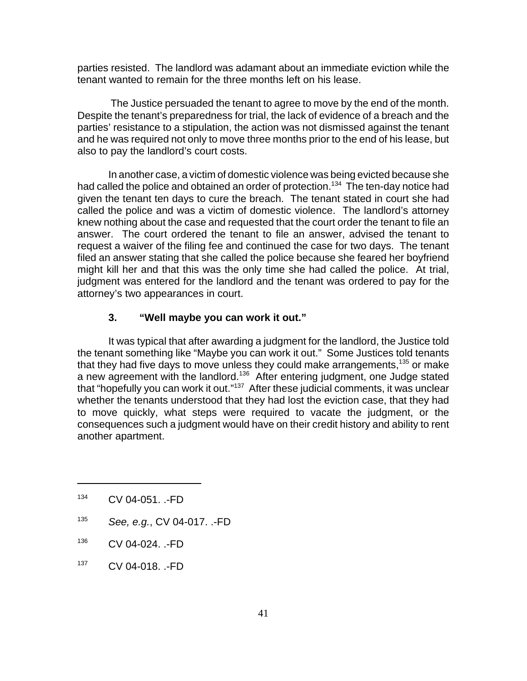parties resisted. The landlord was adamant about an immediate eviction while the tenant wanted to remain for the three months left on his lease.

 The Justice persuaded the tenant to agree to move by the end of the month. Despite the tenant's preparedness for trial, the lack of evidence of a breach and the parties' resistance to a stipulation, the action was not dismissed against the tenant and he was required not only to move three months prior to the end of his lease, but also to pay the landlord's court costs.

In another case, a victim of domestic violence was being evicted because she had called the police and obtained an order of protection.<sup>134</sup> The ten-day notice had given the tenant ten days to cure the breach. The tenant stated in court she had called the police and was a victim of domestic violence. The landlord's attorney knew nothing about the case and requested that the court order the tenant to file an answer. The court ordered the tenant to file an answer, advised the tenant to request a waiver of the filing fee and continued the case for two days. The tenant filed an answer stating that she called the police because she feared her boyfriend might kill her and that this was the only time she had called the police. At trial, judgment was entered for the landlord and the tenant was ordered to pay for the attorney's two appearances in court.

# **3. "Well maybe you can work it out."**

It was typical that after awarding a judgment for the landlord, the Justice told the tenant something like "Maybe you can work it out." Some Justices told tenants that they had five days to move unless they could make arrangements,  $135$  or make a new agreement with the landlord.<sup>136</sup> After entering judgment, one Judge stated that "hopefully you can work it out."137 After these judicial comments, it was unclear whether the tenants understood that they had lost the eviction case, that they had to move quickly, what steps were required to vacate the judgment, or the consequences such a judgment would have on their credit history and ability to rent another apartment.

- <sup>135</sup> *See, e.g.*, CV 04-017. .-FD
- <sup>136</sup> CV 04-024. .-FD
- <sup>137</sup> CV 04-018. .-FD

<sup>134</sup> CV 04-051. .-FD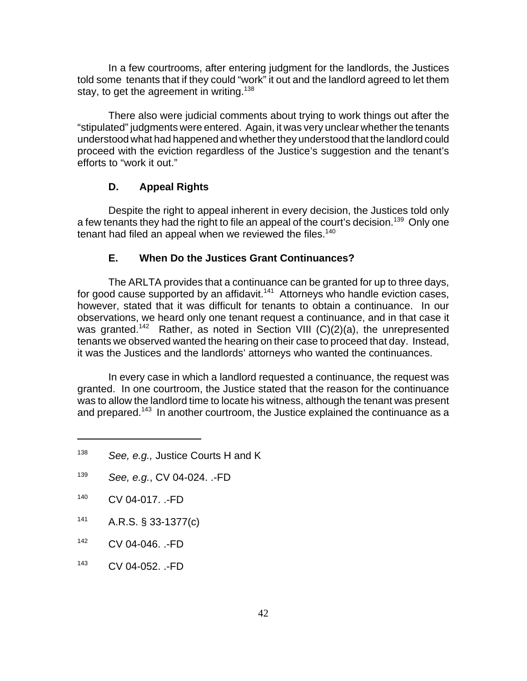In a few courtrooms, after entering judgment for the landlords, the Justices told some tenants that if they could "work" it out and the landlord agreed to let them stay, to get the agreement in writing.<sup>138</sup>

There also were judicial comments about trying to work things out after the "stipulated" judgments were entered. Again, it was very unclear whether the tenants understood what had happened and whether they understood that the landlord could proceed with the eviction regardless of the Justice's suggestion and the tenant's efforts to "work it out."

#### **D. Appeal Rights**

Despite the right to appeal inherent in every decision, the Justices told only a few tenants they had the right to file an appeal of the court's decision.<sup>139</sup> Only one tenant had filed an appeal when we reviewed the files.<sup>140</sup>

#### **E. When Do the Justices Grant Continuances?**

The ARLTA provides that a continuance can be granted for up to three days, for good cause supported by an affidavit.<sup>141</sup> Attorneys who handle eviction cases, however, stated that it was difficult for tenants to obtain a continuance. In our observations, we heard only one tenant request a continuance, and in that case it was granted.<sup>142</sup> Rather, as noted in Section VIII (C)(2)(a), the unrepresented tenants we observed wanted the hearing on their case to proceed that day. Instead, it was the Justices and the landlords' attorneys who wanted the continuances.

In every case in which a landlord requested a continuance, the request was granted. In one courtroom, the Justice stated that the reason for the continuance was to allow the landlord time to locate his witness, although the tenant was present and prepared.<sup>143</sup> In another courtroom, the Justice explained the continuance as a

- $141$  A.R.S. § 33-1377(c)
- <sup>142</sup> CV 04-046. .-FD
- <sup>143</sup> CV 04-052. .-FD

<sup>138</sup> *See, e.g.,* Justice Courts H and K

<sup>139</sup> *See, e.g.*, CV 04-024. .-FD

<sup>140</sup> CV 04-017. .-FD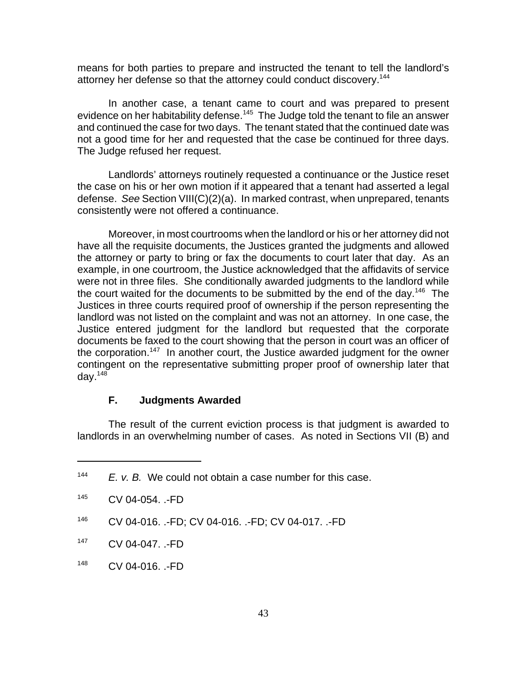means for both parties to prepare and instructed the tenant to tell the landlord's attorney her defense so that the attorney could conduct discovery.<sup>144</sup>

In another case, a tenant came to court and was prepared to present evidence on her habitability defense.<sup>145</sup> The Judge told the tenant to file an answer and continued the case for two days. The tenant stated that the continued date was not a good time for her and requested that the case be continued for three days. The Judge refused her request.

Landlords' attorneys routinely requested a continuance or the Justice reset the case on his or her own motion if it appeared that a tenant had asserted a legal defense. *See* Section VIII(C)(2)(a). In marked contrast, when unprepared, tenants consistently were not offered a continuance.

Moreover, in most courtrooms when the landlord or his or her attorney did not have all the requisite documents, the Justices granted the judgments and allowed the attorney or party to bring or fax the documents to court later that day. As an example, in one courtroom, the Justice acknowledged that the affidavits of service were not in three files. She conditionally awarded judgments to the landlord while the court waited for the documents to be submitted by the end of the day.<sup>146</sup> The Justices in three courts required proof of ownership if the person representing the landlord was not listed on the complaint and was not an attorney. In one case, the Justice entered judgment for the landlord but requested that the corporate documents be faxed to the court showing that the person in court was an officer of the corporation.<sup>147</sup> In another court, the Justice awarded judgment for the owner contingent on the representative submitting proper proof of ownership later that day. $148$ 

#### **F. Judgments Awarded**

The result of the current eviction process is that judgment is awarded to landlords in an overwhelming number of cases. As noted in Sections VII (B) and

- <sup>147</sup> CV 04-047. .-FD
- <sup>148</sup> CV 04-016. .-FD

<sup>144</sup> *E. v. B.* We could not obtain a case number for this case.

<sup>145</sup> CV 04-054. .-FD

<sup>146</sup> CV 04-016. .-FD; CV 04-016. .-FD; CV 04-017. .-FD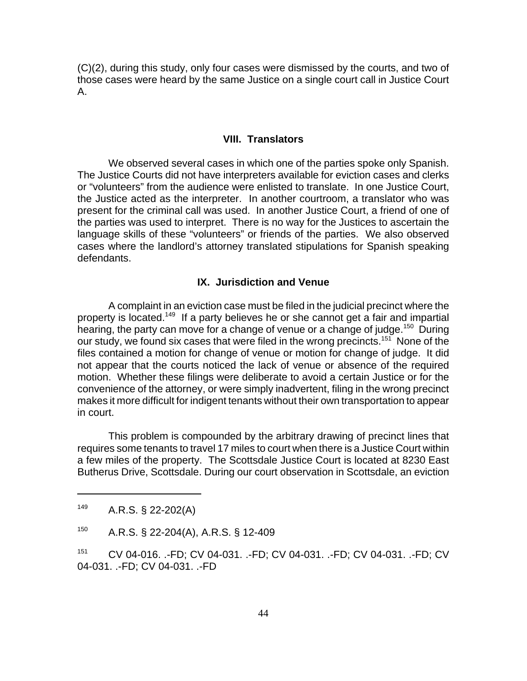(C)(2), during this study, only four cases were dismissed by the courts, and two of those cases were heard by the same Justice on a single court call in Justice Court A.

#### **VIII. Translators**

We observed several cases in which one of the parties spoke only Spanish. The Justice Courts did not have interpreters available for eviction cases and clerks or "volunteers" from the audience were enlisted to translate. In one Justice Court, the Justice acted as the interpreter. In another courtroom, a translator who was present for the criminal call was used. In another Justice Court, a friend of one of the parties was used to interpret. There is no way for the Justices to ascertain the language skills of these "volunteers" or friends of the parties. We also observed cases where the landlord's attorney translated stipulations for Spanish speaking defendants.

#### **IX. Jurisdiction and Venue**

A complaint in an eviction case must be filed in the judicial precinct where the property is located.149 If a party believes he or she cannot get a fair and impartial hearing, the party can move for a change of venue or a change of judge.<sup>150</sup> During our study, we found six cases that were filed in the wrong precincts.<sup>151</sup> None of the files contained a motion for change of venue or motion for change of judge. It did not appear that the courts noticed the lack of venue or absence of the required motion. Whether these filings were deliberate to avoid a certain Justice or for the convenience of the attorney, or were simply inadvertent, filing in the wrong precinct makes it more difficult for indigent tenants without their own transportation to appear in court.

This problem is compounded by the arbitrary drawing of precinct lines that requires some tenants to travel 17 miles to court when there is a Justice Court within a few miles of the property. The Scottsdale Justice Court is located at 8230 East Butherus Drive, Scottsdale. During our court observation in Scottsdale, an eviction

<sup>149</sup> A.R.S. § 22-202(A)

<sup>150</sup> A.R.S. § 22-204(A), A.R.S. § 12-409

<sup>151</sup> CV 04-016. .-FD; CV 04-031. .-FD; CV 04-031. .-FD; CV 04-031. .-FD; CV 04-031. .-FD; CV 04-031. .-FD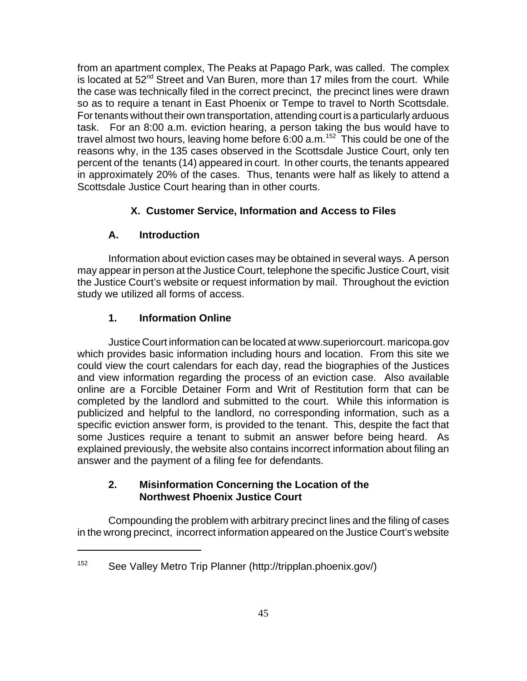from an apartment complex, The Peaks at Papago Park, was called. The complex is located at  $52<sup>nd</sup>$  Street and Van Buren, more than 17 miles from the court. While the case was technically filed in the correct precinct, the precinct lines were drawn so as to require a tenant in East Phoenix or Tempe to travel to North Scottsdale. For tenants without their own transportation, attending court is a particularly arduous task. For an 8:00 a.m. eviction hearing, a person taking the bus would have to travel almost two hours, leaving home before 6:00 a.m.<sup>152</sup> This could be one of the reasons why, in the 135 cases observed in the Scottsdale Justice Court, only ten percent of the tenants (14) appeared in court. In other courts, the tenants appeared in approximately 20% of the cases. Thus, tenants were half as likely to attend a Scottsdale Justice Court hearing than in other courts.

# **X. Customer Service, Information and Access to Files**

# **A. Introduction**

Information about eviction cases may be obtained in several ways. A person may appear in person at the Justice Court, telephone the specific Justice Court, visit the Justice Court's website or request information by mail. Throughout the eviction study we utilized all forms of access.

# **1. Information Online**

Justice Court information can be located at www.superiorcourt. maricopa.gov which provides basic information including hours and location. From this site we could view the court calendars for each day, read the biographies of the Justices and view information regarding the process of an eviction case. Also available online are a Forcible Detainer Form and Writ of Restitution form that can be completed by the landlord and submitted to the court. While this information is publicized and helpful to the landlord, no corresponding information, such as a specific eviction answer form, is provided to the tenant. This, despite the fact that some Justices require a tenant to submit an answer before being heard. As explained previously, the website also contains incorrect information about filing an answer and the payment of a filing fee for defendants.

# **2. Misinformation Concerning the Location of the Northwest Phoenix Justice Court**

Compounding the problem with arbitrary precinct lines and the filing of cases in the wrong precinct, incorrect information appeared on the Justice Court's website

<sup>152</sup> See Valley Metro Trip Planner (http://tripplan.phoenix.gov/)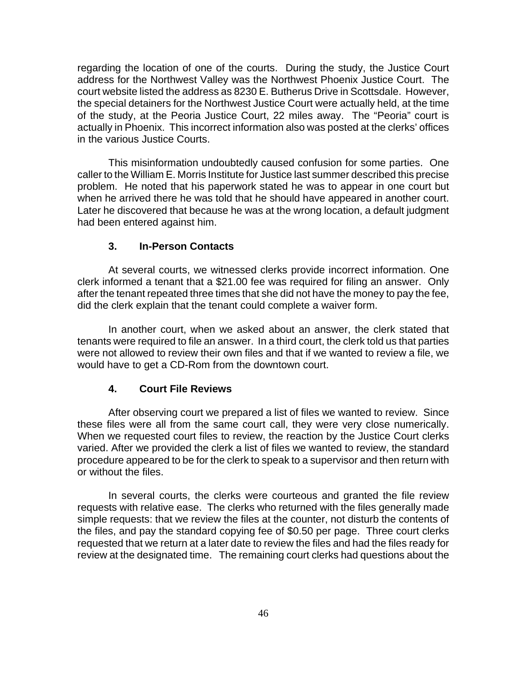regarding the location of one of the courts. During the study, the Justice Court address for the Northwest Valley was the Northwest Phoenix Justice Court. The court website listed the address as 8230 E. Butherus Drive in Scottsdale. However, the special detainers for the Northwest Justice Court were actually held, at the time of the study, at the Peoria Justice Court, 22 miles away. The "Peoria" court is actually in Phoenix. This incorrect information also was posted at the clerks' offices in the various Justice Courts.

This misinformation undoubtedly caused confusion for some parties. One caller to the William E. Morris Institute for Justice last summer described this precise problem. He noted that his paperwork stated he was to appear in one court but when he arrived there he was told that he should have appeared in another court. Later he discovered that because he was at the wrong location, a default judgment had been entered against him.

#### **3. In-Person Contacts**

At several courts, we witnessed clerks provide incorrect information. One clerk informed a tenant that a \$21.00 fee was required for filing an answer. Only after the tenant repeated three times that she did not have the money to pay the fee, did the clerk explain that the tenant could complete a waiver form.

In another court, when we asked about an answer, the clerk stated that tenants were required to file an answer. In a third court, the clerk told us that parties were not allowed to review their own files and that if we wanted to review a file, we would have to get a CD-Rom from the downtown court.

#### **4. Court File Reviews**

After observing court we prepared a list of files we wanted to review. Since these files were all from the same court call, they were very close numerically. When we requested court files to review, the reaction by the Justice Court clerks varied. After we provided the clerk a list of files we wanted to review, the standard procedure appeared to be for the clerk to speak to a supervisor and then return with or without the files.

In several courts, the clerks were courteous and granted the file review requests with relative ease. The clerks who returned with the files generally made simple requests: that we review the files at the counter, not disturb the contents of the files, and pay the standard copying fee of \$0.50 per page. Three court clerks requested that we return at a later date to review the files and had the files ready for review at the designated time. The remaining court clerks had questions about the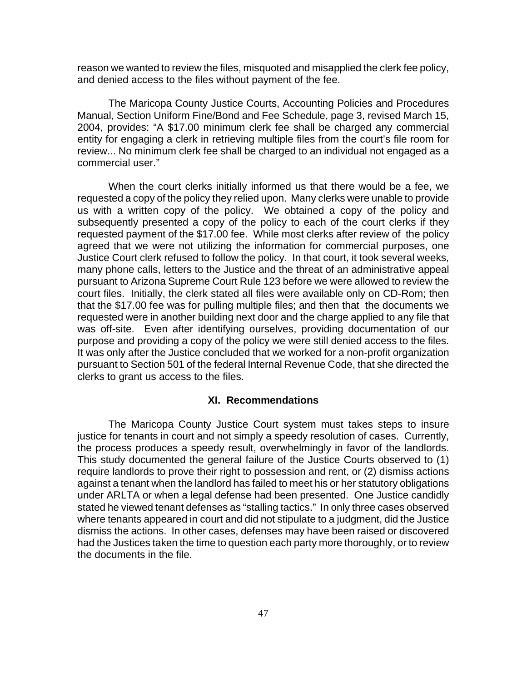reason we wanted to review the files, misquoted and misapplied the clerk fee policy, and denied access to the files without payment of the fee.

The Maricopa County Justice Courts, Accounting Policies and Procedures Manual, Section Uniform Fine/Bond and Fee Schedule, page 3, revised March 15, 2004, provides: "A \$17.00 minimum clerk fee shall be charged any commercial entity for engaging a clerk in retrieving multiple files from the court's file room for review... No minimum clerk fee shall be charged to an individual not engaged as a commercial user."

When the court clerks initially informed us that there would be a fee, we requested a copy of the policy they relied upon. Many clerks were unable to provide us with a written copy of the policy. We obtained a copy of the policy and subsequently presented a copy of the policy to each of the court clerks if they requested payment of the \$17.00 fee. While most clerks after review of the policy agreed that we were not utilizing the information for commercial purposes, one Justice Court clerk refused to follow the policy. In that court, it took several weeks, many phone calls, letters to the Justice and the threat of an administrative appeal pursuant to Arizona Supreme Court Rule 123 before we were allowed to review the court files. Initially, the clerk stated all files were available only on CD-Rom; then that the \$17.00 fee was for pulling multiple files; and then that the documents we requested were in another building next door and the charge applied to any file that was off-site. Even after identifying ourselves, providing documentation of our purpose and providing a copy of the policy we were still denied access to the files. It was only after the Justice concluded that we worked for a non-profit organization pursuant to Section 501 of the federal Internal Revenue Code, that she directed the clerks to grant us access to the files.

#### **XI. Recommendations**

The Maricopa County Justice Court system must takes steps to insure justice for tenants in court and not simply a speedy resolution of cases. Currently, the process produces a speedy result, overwhelmingly in favor of the landlords. This study documented the general failure of the Justice Courts observed to (1) require landlords to prove their right to possession and rent, or (2) dismiss actions against a tenant when the landlord has failed to meet his or her statutory obligations under ARLTA or when a legal defense had been presented. One Justice candidly stated he viewed tenant defenses as "stalling tactics." In only three cases observed where tenants appeared in court and did not stipulate to a judgment, did the Justice dismiss the actions. In other cases, defenses may have been raised or discovered had the Justices taken the time to question each party more thoroughly, or to review the documents in the file.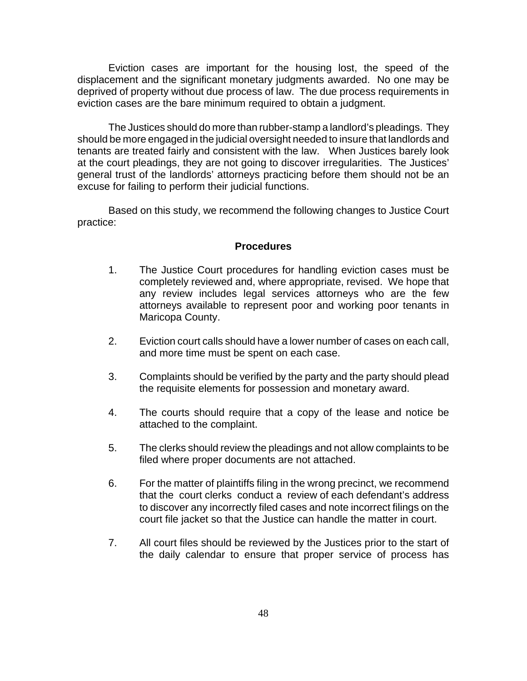Eviction cases are important for the housing lost, the speed of the displacement and the significant monetary judgments awarded. No one may be deprived of property without due process of law. The due process requirements in eviction cases are the bare minimum required to obtain a judgment.

The Justices should do more than rubber-stamp a landlord's pleadings. They should be more engaged in the judicial oversight needed to insure that landlords and tenants are treated fairly and consistent with the law. When Justices barely look at the court pleadings, they are not going to discover irregularities. The Justices' general trust of the landlords' attorneys practicing before them should not be an excuse for failing to perform their judicial functions.

Based on this study, we recommend the following changes to Justice Court practice:

#### **Procedures**

- 1. The Justice Court procedures for handling eviction cases must be completely reviewed and, where appropriate, revised. We hope that any review includes legal services attorneys who are the few attorneys available to represent poor and working poor tenants in Maricopa County.
- 2. Eviction court calls should have a lower number of cases on each call, and more time must be spent on each case.
- 3. Complaints should be verified by the party and the party should plead the requisite elements for possession and monetary award.
- 4. The courts should require that a copy of the lease and notice be attached to the complaint.
- 5. The clerks should review the pleadings and not allow complaints to be filed where proper documents are not attached.
- 6. For the matter of plaintiffs filing in the wrong precinct, we recommend that the court clerks conduct a review of each defendant's address to discover any incorrectly filed cases and note incorrect filings on the court file jacket so that the Justice can handle the matter in court.
- 7. All court files should be reviewed by the Justices prior to the start of the daily calendar to ensure that proper service of process has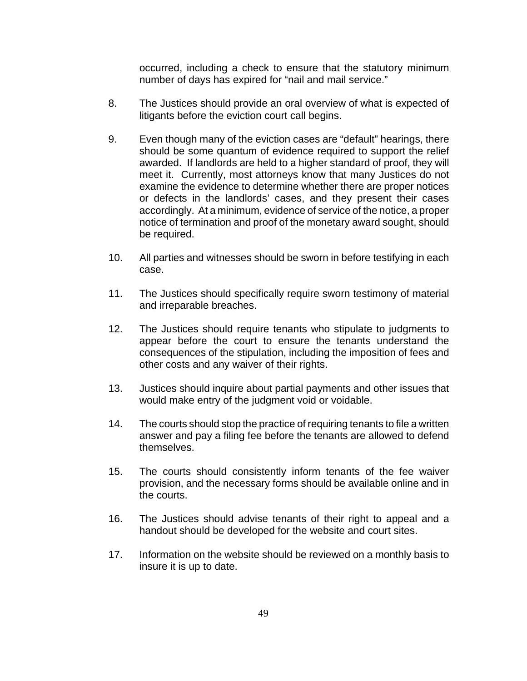occurred, including a check to ensure that the statutory minimum number of days has expired for "nail and mail service."

- 8. The Justices should provide an oral overview of what is expected of litigants before the eviction court call begins.
- 9. Even though many of the eviction cases are "default" hearings, there should be some quantum of evidence required to support the relief awarded. If landlords are held to a higher standard of proof, they will meet it. Currently, most attorneys know that many Justices do not examine the evidence to determine whether there are proper notices or defects in the landlords' cases, and they present their cases accordingly. At a minimum, evidence of service of the notice, a proper notice of termination and proof of the monetary award sought, should be required.
- 10. All parties and witnesses should be sworn in before testifying in each case.
- 11. The Justices should specifically require sworn testimony of material and irreparable breaches.
- 12. The Justices should require tenants who stipulate to judgments to appear before the court to ensure the tenants understand the consequences of the stipulation, including the imposition of fees and other costs and any waiver of their rights.
- 13. Justices should inquire about partial payments and other issues that would make entry of the judgment void or voidable.
- 14. The courts should stop the practice of requiring tenants to file a written answer and pay a filing fee before the tenants are allowed to defend themselves.
- 15. The courts should consistently inform tenants of the fee waiver provision, and the necessary forms should be available online and in the courts.
- 16. The Justices should advise tenants of their right to appeal and a handout should be developed for the website and court sites.
- 17. Information on the website should be reviewed on a monthly basis to insure it is up to date.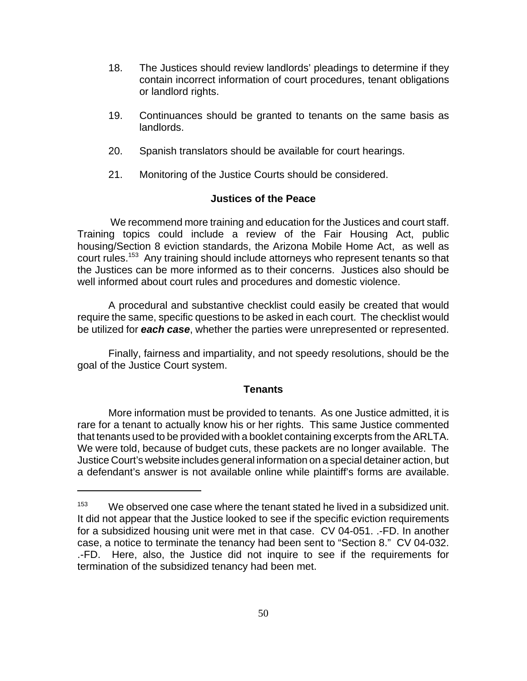- 18. The Justices should review landlords' pleadings to determine if they contain incorrect information of court procedures, tenant obligations or landlord rights.
- 19. Continuances should be granted to tenants on the same basis as landlords.
- 20. Spanish translators should be available for court hearings.
- 21. Monitoring of the Justice Courts should be considered.

# **Justices of the Peace**

 We recommend more training and education for the Justices and court staff. Training topics could include a review of the Fair Housing Act, public housing/Section 8 eviction standards, the Arizona Mobile Home Act, as well as court rules.<sup>153</sup> Any training should include attorneys who represent tenants so that the Justices can be more informed as to their concerns. Justices also should be well informed about court rules and procedures and domestic violence.

A procedural and substantive checklist could easily be created that would require the same, specific questions to be asked in each court. The checklist would be utilized for *each case*, whether the parties were unrepresented or represented.

Finally, fairness and impartiality, and not speedy resolutions, should be the goal of the Justice Court system.

# **Tenants**

More information must be provided to tenants. As one Justice admitted, it is rare for a tenant to actually know his or her rights. This same Justice commented that tenants used to be provided with a booklet containing excerpts from the ARLTA. We were told, because of budget cuts, these packets are no longer available. The Justice Court's website includes general information on a special detainer action, but a defendant's answer is not available online while plaintiff's forms are available.

 $153$  We observed one case where the tenant stated he lived in a subsidized unit. It did not appear that the Justice looked to see if the specific eviction requirements for a subsidized housing unit were met in that case. CV 04-051. .-FD. In another case, a notice to terminate the tenancy had been sent to "Section 8." CV 04-032. .-FD. Here, also, the Justice did not inquire to see if the requirements for termination of the subsidized tenancy had been met.